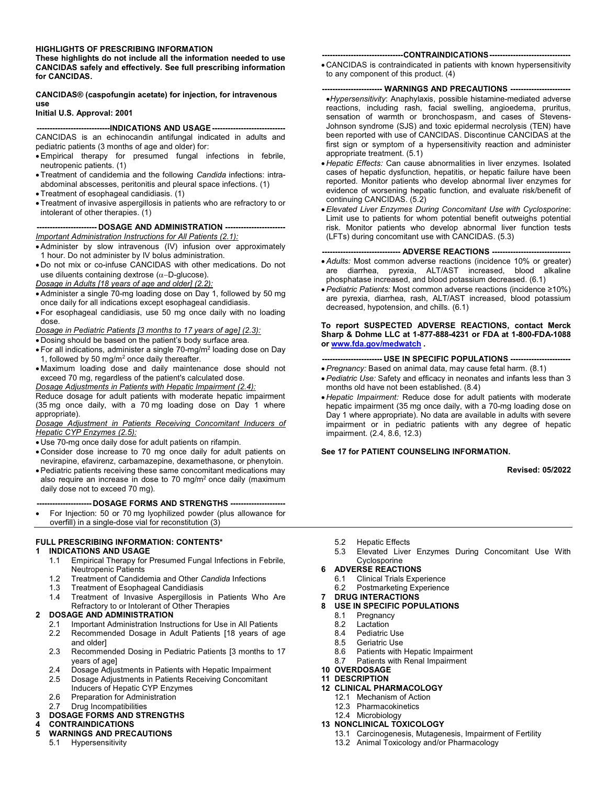#### **HIGHLIGHTS OF PRESCRIBING INFORMATION**

**These highlights do not include all the information needed to use CANCIDAS safely and effectively. See full prescribing information for CANCIDAS.**

**CANCIDAS® (caspofungin acetate) for injection, for intravenous use**

#### **Initial U.S. Approval: 2001**

# **----------------------------INDICATIONS AND USAGE ----------------------------**

CANCIDAS is an echinocandin antifungal indicated in adults and pediatric patients (3 months of age and older) for:

- Empirical therapy for presumed fungal infections in febrile, neutropenic patients. (1)
- Treatment of candidemia and the following *Candida* infections: intraabdominal abscesses, peritonitis and pleural space infections. (1)
- Treatment of esophageal candidiasis. (1)
- Treatment of invasive aspergillosis in patients who are refractory to or intolerant of other therapies. (1)

#### **----------------------- DOSAGE AND ADMINISTRATION -----------------------** *Important Administration Instructions for All Patients (2.1):*

- Administer by slow intravenous (IV) infusion over approximately 1 hour. Do not administer by IV bolus administration.
- Do not mix or co-infuse CANCIDAS with other medications. Do not use diluents containing dextrose ( $\alpha$ -D-glucose).

*Dosage in Adults [18 years of age and older] (2.2):*

- Administer a single 70-mg loading dose on Day 1, followed by 50 mg once daily for all indications except esophageal candidiasis.
- For esophageal candidiasis, use 50 mg once daily with no loading dose.

*Dosage in Pediatric Patients [3 months to 17 years of age] (2.3):*

- Dosing should be based on the patient's body surface area.
- $\bullet$  For all indications, administer a single 70-mg/m² loading dose on Day 1, followed by 50 mg/m<sup>2</sup> once daily thereafter.
- Maximum loading dose and daily maintenance dose should not exceed 70 mg, regardless of the patient's calculated dose.

*Dosage Adjustments in Patients with Hepatic Impairment (2.4):*

Reduce dosage for adult patients with moderate hepatic impairment (35 mg once daily, with a 70 mg loading dose on Day 1 where appropriate).

*Dosage Adjustment in Patients Receiving Concomitant Inducers of Hepatic CYP Enzymes (2.5):*

- Use 70-mg once daily dose for adult patients on rifampin.
- Consider dose increase to 70 mg once daily for adult patients on nevirapine, efavirenz, carbamazepine, dexamethasone, or phenytoin.
- Pediatric patients receiving these same concomitant medications may also require an increase in dose to 70 mg/ $m<sup>2</sup>$  once daily (maximum daily dose not to exceed 70 mg).

**--------------------- DOSAGE FORMS AND STRENGTHS ---------------------**

 For Injection: 50 or 70 mg lyophilized powder (plus allowance for overfill) in a single-dose vial for reconstitution (3)

#### **FULL PRESCRIBING INFORMATION: CONTENTS\***

#### **1 INDICATIONS AND USAGE**

- 1.1 Empirical Therapy for Presumed Fungal Infections in Febrile, Neutropenic Patients
- 1.2 Treatment of Candidemia and Other *Candida* Infections
- 1.3 Treatment of Esophageal Candidiasis<br>1.4 Treatment of Invasive Aspergillosis
- Treatment of Invasive Aspergillosis in Patients Who Are Refractory to or Intolerant of Other Therapies
- **2 DOSAGE AND ADMINISTRATION**
	- 2.1 Important Administration Instructions for Use in All Patients
	- 2.2 Recommended Dosage in Adult Patients [18 years of age and older]
	- 2.3 Recommended Dosing in Pediatric Patients [3 months to 17 years of age]
	- 2.4 Dosage Adjustments in Patients with Hepatic Impairment 2.5 Dosage Adjustments in Patients Receiving Concomitant
	- 2.5 Dosage Adjustments in Patients Receiving Concomitant
	- Inducers of Hepatic CYP Enzymes
	- 2.6 Preparation for Administration

# 2.7 Drug Incompatibilities

# **3 DOSAGE FORMS AND STRENGTHS**

- **4 CONTRAINDICATIONS**
- **5 WARNINGS AND PRECAUTIONS**
- 5.1 Hypersensitivity
- **-------------------------------CONTRAINDICATIONS-------------------------------**
- CANCIDAS is contraindicated in patients with known hypersensitivity to any component of this product. (4)

#### **----------------------- WARNINGS AND PRECAUTIONS -----------------------**

- *Hypersensitivity*: Anaphylaxis, possible histamine-mediated adverse reactions, including rash, facial swelling, angioedema, pruritus, sensation of warmth or bronchospasm, and cases of Stevens-Johnson syndrome (SJS) and toxic epidermal necrolysis (TEN) have been reported with use of CANCIDAS. Discontinue CANCIDAS at the first sign or symptom of a hypersensitivity reaction and administer appropriate treatment. (5.1)
- *Hepatic Effects:* Can cause abnormalities in liver enzymes. Isolated cases of hepatic dysfunction, hepatitis, or hepatic failure have been reported. Monitor patients who develop abnormal liver enzymes for evidence of worsening hepatic function, and evaluate risk/benefit of continuing CANCIDAS. (5.2)
- *Elevated Liver Enzymes During Concomitant Use with Cyclosporine*: Limit use to patients for whom potential benefit outweighs potential risk. Monitor patients who develop abnormal liver function tests (LFTs) during concomitant use with CANCIDAS. (5.3)

#### **------------------------------ ADVERSE REACTIONS ------------------------------**

- *Adults:* Most common adverse reactions (incidence 10% or greater) are diarrhea, pyrexia, ALT/AST increased, blood alkaline phosphatase increased, and blood potassium decreased. (6.1)
- *Pediatric Patients:* Most common adverse reactions (incidence ≥10%) are pyrexia, diarrhea, rash, ALT/AST increased, blood potassium decreased, hypotension, and chills. (6.1)

#### **To report SUSPECTED ADVERSE REACTIONS, contact Merck Sharp & Dohme LLC at 1-877-888-4231 or FDA at 1-800-FDA-1088 or [www.fda.gov/medwatch](http://www.fda.gov/medwatch) .**

#### **----------------------- USE IN SPECIFIC POPULATIONS -----------------------**

- *Pregnancy:* Based on animal data, may cause fetal harm. (8.1)
- *Pediatric Use:* Safety and efficacy in neonates and infants less than 3 months old have not been established. (8.4)
- *Hepatic Impairment:* Reduce dose for adult patients with moderate hepatic impairment (35 mg once daily, with a 70-mg loading dose on Day 1 where appropriate). No data are available in adults with severe impairment or in pediatric patients with any degree of hepatic impairment. (2.4, 8.6, 12.3)

#### **See 17 for PATIENT COUNSELING INFORMATION.**

**Revised: 05/2022**

- 5.2 Hepatic Effects
- 5.3 Elevated Liver Enzymes During Concomitant Use With Cyclosporine

# **6 ADVERSE REACTIONS**

- Clinical Trials Experience
- 6.2 Postmarketing Experience

# **7 DRUG INTERACTIONS**

- **8 USE IN SPECIFIC POPULATIONS**
	- 8.1 Pregnancy
	- 8.2 Lactation
	- 8.4 Pediatric Use
	- 8.5 Geriatric Use<br>8.6 Patients with
	- Patients with Hepatic Impairment
	- 8.7 Patients with Renal Impairment
- **10 OVERDOSAGE**
- **11 DESCRIPTION 12 CLINICAL PHARMACOLOGY**
	- 12.1 Mechanism of Action
	- 12.3 Pharmacokinetics
	- 12.4 Microbiology

#### **13 NONCLINICAL TOXICOLOGY**

- 13.1 Carcinogenesis, Mutagenesis, Impairment of Fertility
- 13.2 Animal Toxicology and/or Pharmacology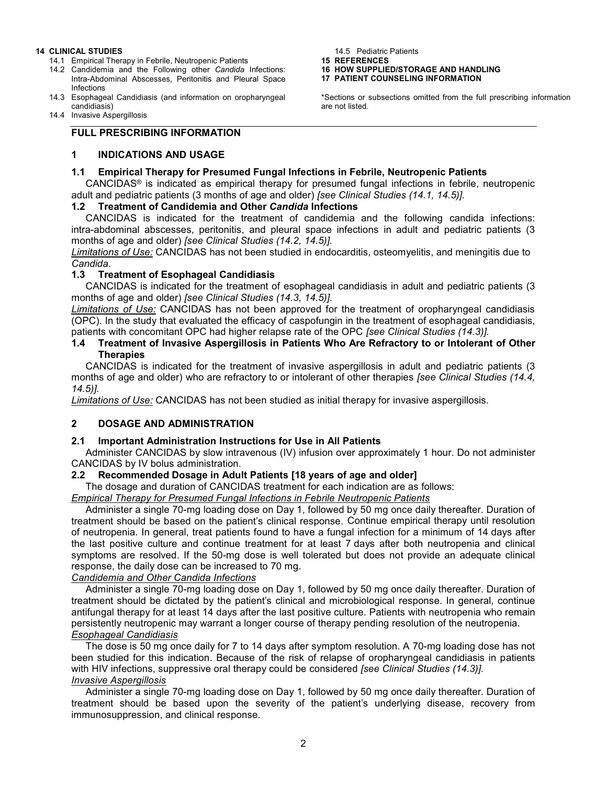#### **14 CLINICAL STUDIES**

- 14.1 Empirical Therapy in Febrile, Neutropenic Patients
- 14.2 Candidemia and the Following other *Candida* Infections: Intra-Abdominal Abscesses, Peritonitis and Pleural Space Infections
- 14.3 Esophageal Candidiasis (and information on oropharyngeal candidiasis)
- 14.4 Invasive Aspergillosis

# **FULL PRESCRIBING INFORMATION**

# **1 INDICATIONS AND USAGE**

# **1.1 Empirical Therapy for Presumed Fungal Infections in Febrile, Neutropenic Patients**

CANCIDAS® is indicated as empirical therapy for presumed fungal infections in febrile, neutropenic adult and pediatric patients (3 months of age and older) *[see Clinical Studies (14.1, 14.5)].*

#### **1.2 Treatment of Candidemia and Other** *Candida* **Infections**

CANCIDAS is indicated for the treatment of candidemia and the following candida infections: intra-abdominal abscesses, peritonitis, and pleural space infections in adult and pediatric patients (3 months of age and older) *[see Clinical Studies (14.2, 14.5)].*

*Limitations of Use:* CANCIDAS has not been studied in endocarditis, osteomyelitis, and meningitis due to *Candida*.

#### **1.3 Treatment of Esophageal Candidiasis**

CANCIDAS is indicated for the treatment of esophageal candidiasis in adult and pediatric patients (3 months of age and older) *[see Clinical Studies (14.3, 14.5)].*

*Limitations of Use:* CANCIDAS has not been approved for the treatment of oropharyngeal candidiasis (OPC). In the study that evaluated the efficacy of caspofungin in the treatment of esophageal candidiasis, patients with concomitant OPC had higher relapse rate of the OPC *[see Clinical Studies (14.3)].*

#### **1.4 Treatment of Invasive Aspergillosis in Patients Who Are Refractory to or Intolerant of Other Therapies**

CANCIDAS is indicated for the treatment of invasive aspergillosis in adult and pediatric patients (3 months of age and older) who are refractory to or intolerant of other therapies *[see Clinical Studies (14.4, 14.5)].*

*Limitations of Use:* CANCIDAS has not been studied as initial therapy for invasive aspergillosis.

# **2 DOSAGE AND ADMINISTRATION**

# **2.1 Important Administration Instructions for Use in All Patients**

Administer CANCIDAS by slow intravenous (IV) infusion over approximately 1 hour. Do not administer CANCIDAS by IV bolus administration.

# **2.2 Recommended Dosage in Adult Patients [18 years of age and older]**

The dosage and duration of CANCIDAS treatment for each indication are as follows:

*Empirical Therapy for Presumed Fungal Infections in Febrile Neutropenic Patients*

Administer a single 70-mg loading dose on Day 1, followed by 50 mg once daily thereafter. Duration of treatment should be based on the patient's clinical response. Continue empirical therapy until resolution of neutropenia. In general, treat patients found to have a fungal infection for a minimum of 14 days after the last positive culture and continue treatment for at least 7 days after both neutropenia and clinical symptoms are resolved. If the 50-mg dose is well tolerated but does not provide an adequate clinical response, the daily dose can be increased to 70 mg.

*Candidemia and Other Candida Infections* 

Administer a single 70-mg loading dose on Day 1, followed by 50 mg once daily thereafter. Duration of treatment should be dictated by the patient's clinical and microbiological response. In general, continue antifungal therapy for at least 14 days after the last positive culture. Patients with neutropenia who remain persistently neutropenic may warrant a longer course of therapy pending resolution of the neutropenia. *Esophageal Candidiasis*

The dose is 50 mg once daily for 7 to 14 days after symptom resolution. A 70-mg loading dose has not been studied for this indication. Because of the risk of relapse of oropharyngeal candidiasis in patients with HIV infections, suppressive oral therapy could be considered *[see Clinical Studies (14.3)]. Invasive Aspergillosis*

Administer a single 70-mg loading dose on Day 1, followed by 50 mg once daily thereafter. Duration of treatment should be based upon the severity of the patient's underlying disease, recovery from immunosuppression, and clinical response.

14.5 Pediatric Patients

**15 REFERENCES**

**16 HOW SUPPLIED/STORAGE AND HANDLING**

**17 PATIENT COUNSELING INFORMATION**

\*Sections or subsections omitted from the full prescribing information are not listed.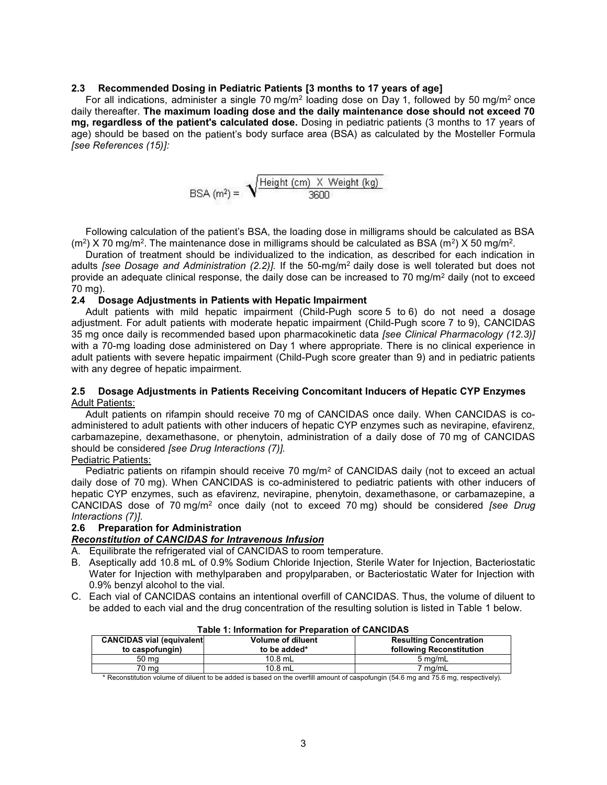#### **2.3 Recommended Dosing in Pediatric Patients [3 months to 17 years of age]**

For all indications, administer a single 70 mg/m<sup>2</sup> loading dose on Day 1, followed by 50 mg/m<sup>2</sup> once daily thereafter. **The maximum loading dose and the daily maintenance dose should not exceed 70 mg, regardless of the patient's calculated dose.** Dosing in pediatric patients (3 months to 17 years of age) should be based on the patient's body surface area (BSA) as calculated by the Mosteller Formula *[see References (15)]:*

$$
BSA (m2) = \sqrt{\frac{Height (cm) \times Weight (kg)}{3600}}
$$

Following calculation of the patient's BSA, the loading dose in milligrams should be calculated as BSA (m²) X 70 mg/m². The maintenance dose in milligrams should be calculated as BSA (m²) X 50 mg/m².

Duration of treatment should be individualized to the indication, as described for each indication in adults *[see Dosage and Administration (2.2)].* If the 50-mg/m<sup>2</sup>daily dose is well tolerated but does not provide an adequate clinical response, the daily dose can be increased to 70 mg/m<sup>2</sup> daily (not to exceed 70 mg).

#### **2.4 Dosage Adjustments in Patients with Hepatic Impairment**

Adult patients with mild hepatic impairment (Child-Pugh score 5 to 6) do not need a dosage adjustment. For adult patients with moderate hepatic impairment (Child-Pugh score 7 to 9), CANCIDAS 35 mg once daily is recommended based upon pharmacokinetic data *[see Clinical Pharmacology (12.3)]* with a 70-mg loading dose administered on Day 1 where appropriate. There is no clinical experience in adult patients with severe hepatic impairment (Child-Pugh score greater than 9) and in pediatric patients with any degree of hepatic impairment.

#### **2.5 Dosage Adjustments in Patients Receiving Concomitant Inducers of Hepatic CYP Enzymes** Adult Patients:

Adult patients on rifampin should receive 70 mg of CANCIDAS once daily. When CANCIDAS is coadministered to adult patients with other inducers of hepatic CYP enzymes such as nevirapine, efavirenz, carbamazepine, dexamethasone, or phenytoin, administration of a daily dose of 70 mg of CANCIDAS should be considered *[see Drug Interactions (7)].*

Pediatric Patients:

Pediatric patients on rifampin should receive 70 mg/m<sup>2</sup> of CANCIDAS daily (not to exceed an actual daily dose of 70 mg). When CANCIDAS is co-administered to pediatric patients with other inducers of hepatic CYP enzymes, such as efavirenz, nevirapine, phenytoin, dexamethasone, or carbamazepine, a CANCIDAS dose of 70 mg/m<sup>2</sup> once daily (not to exceed 70 mg) should be considered *[see Drug Interactions (7)].*

#### **2.6 Preparation for Administration**

#### *Reconstitution of CANCIDAS for Intravenous Infusion*

- A. Equilibrate the refrigerated vial of CANCIDAS to room temperature.
- B. Aseptically add 10.8 mL of 0.9% Sodium Chloride Injection, Sterile Water for Injection, Bacteriostatic Water for Injection with methylparaben and propylparaben, or Bacteriostatic Water for Injection with 0.9% benzyl alcohol to the vial.
- C. Each vial of CANCIDAS contains an intentional overfill of CANCIDAS. Thus, the volume of diluent to be added to each vial and the drug concentration of the resulting solution is listed in Table 1 below.

| סת שוט ויי הייט וויטווויסט וויטו ויטו וויטווויסט ויי הייטו |                          |                                |  |  |
|------------------------------------------------------------|--------------------------|--------------------------------|--|--|
| <b>CANCIDAS vial (equivalent)</b>                          | <b>Volume of diluent</b> | <b>Resulting Concentration</b> |  |  |
| to caspofungin)                                            | to be added*             | following Reconstitution       |  |  |
| 50 <sub>mg</sub>                                           | 10.8 mL                  | $5 \text{ ma/mL}$              |  |  |
| 70 mg                                                      | $10.8$ mL                | 7 mg/mL                        |  |  |

#### **Table 1: Information for Preparation of CANCIDAS**

\* Reconstitution volume of diluent to be added is based on the overfill amount of caspofungin (54.6 mg and 75.6 mg, respectively).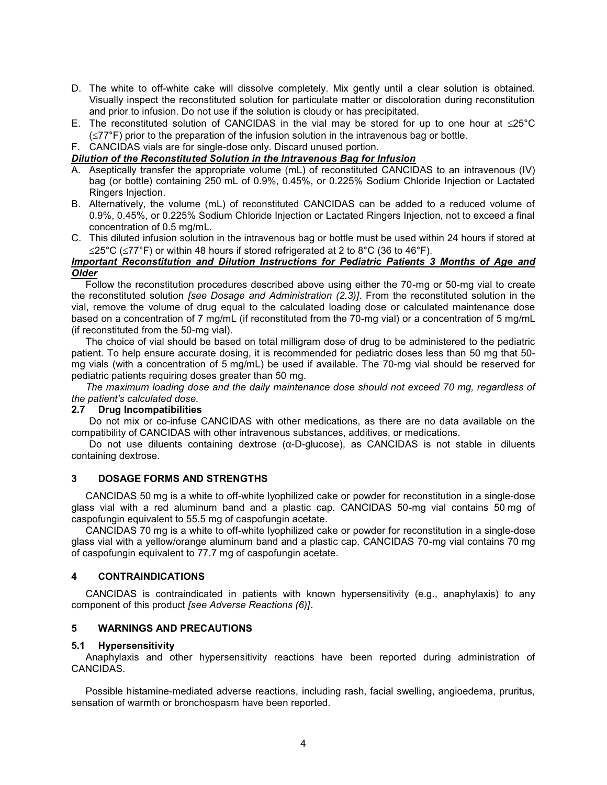- D. The white to off-white cake will dissolve completely. Mix gently until a clear solution is obtained. Visually inspect the reconstituted solution for particulate matter or discoloration during reconstitution and prior to infusion. Do not use if the solution is cloudy or has precipitated.
- E. The reconstituted solution of CANCIDAS in the vial may be stored for up to one hour at  $\leq 25^{\circ}$ C  $(\leq 77^{\circ}F)$  prior to the preparation of the infusion solution in the intravenous bag or bottle.

F. CANCIDAS vials are for single-dose only. Discard unused portion.

# *Dilution of the Reconstituted Solution in the Intravenous Bag for Infusion*

- A. Aseptically transfer the appropriate volume (mL) of reconstituted CANCIDAS to an intravenous (IV) bag (or bottle) containing 250 mL of 0.9%, 0.45%, or 0.225% Sodium Chloride Injection or Lactated Ringers Injection.
- B. Alternatively, the volume (mL) of reconstituted CANCIDAS can be added to a reduced volume of 0.9%, 0.45%, or 0.225% Sodium Chloride Injection or Lactated Ringers Injection, not to exceed a final concentration of 0.5 mg/mL.
- C. This diluted infusion solution in the intravenous bag or bottle must be used within 24 hours if stored at  $\leq$ 25°C ( $\leq$ 77°F) or within 48 hours if stored refrigerated at 2 to 8°C (36 to 46°F).

# *Important Reconstitution and Dilution Instructions for Pediatric Patients 3 Months of Age and Older*

Follow the reconstitution procedures described above using either the 70-mg or 50-mg vial to create the reconstituted solution *[see Dosage and Administration (2.3)]*. From the reconstituted solution in the vial, remove the volume of drug equal to the calculated loading dose or calculated maintenance dose based on a concentration of 7 mg/mL (if reconstituted from the 70-mg vial) or a concentration of 5 mg/mL (if reconstituted from the 50-mg vial).

The choice of vial should be based on total milligram dose of drug to be administered to the pediatric patient. To help ensure accurate dosing, it is recommended for pediatric doses less than 50 mg that 50 mg vials (with a concentration of 5 mg/mL) be used if available. The 70-mg vial should be reserved for pediatric patients requiring doses greater than 50 mg.

*The maximum loading dose and the daily maintenance dose should not exceed 70 mg, regardless of the patient's calculated dose.*

# **2.7 Drug Incompatibilities**

Do not mix or co-infuse CANCIDAS with other medications, as there are no data available on the compatibility of CANCIDAS with other intravenous substances, additives, or medications.

Do not use diluents containing dextrose (α-D-glucose), as CANCIDAS is not stable in diluents containing dextrose.

# **3 DOSAGE FORMS AND STRENGTHS**

CANCIDAS 50 mg is a white to off-white lyophilized cake or powder for reconstitution in a single-dose glass vial with a red aluminum band and a plastic cap. CANCIDAS 50-mg vial contains 50 mg of caspofungin equivalent to 55.5 mg of caspofungin acetate.

CANCIDAS 70 mg is a white to off-white lyophilized cake or powder for reconstitution in a single-dose glass vial with a yellow/orange aluminum band and a plastic cap. CANCIDAS 70-mg vial contains 70 mg of caspofungin equivalent to 77.7 mg of caspofungin acetate.

# **4 CONTRAINDICATIONS**

CANCIDAS is contraindicated in patients with known hypersensitivity (e.g., anaphylaxis) to any component of this product *[see Adverse Reactions (6)]*.

# **5 WARNINGS AND PRECAUTIONS**

#### **5.1 Hypersensitivity**

Anaphylaxis and other hypersensitivity reactions have been reported during administration of CANCIDAS.

Possible histamine-mediated adverse reactions, including rash, facial swelling, angioedema, pruritus, sensation of warmth or bronchospasm have been reported.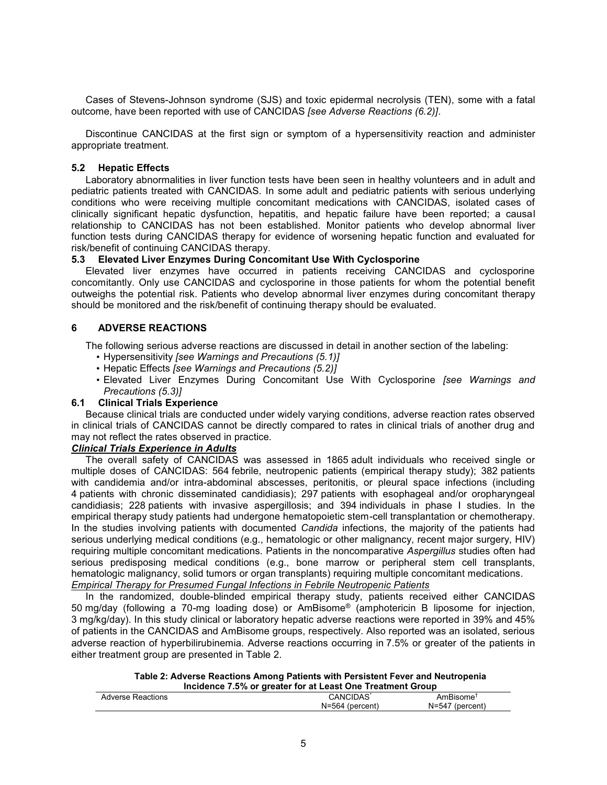Cases of Stevens-Johnson syndrome (SJS) and toxic epidermal necrolysis (TEN), some with a fatal outcome, have been reported with use of CANCIDAS *[see Adverse Reactions (6.2)]*.

Discontinue CANCIDAS at the first sign or symptom of a hypersensitivity reaction and administer appropriate treatment.

# **5.2 Hepatic Effects**

Laboratory abnormalities in liver function tests have been seen in healthy volunteers and in adult and pediatric patients treated with CANCIDAS. In some adult and pediatric patients with serious underlying conditions who were receiving multiple concomitant medications with CANCIDAS, isolated cases of clinically significant hepatic dysfunction, hepatitis, and hepatic failure have been reported; a causal relationship to CANCIDAS has not been established. Monitor patients who develop abnormal liver function tests during CANCIDAS therapy for evidence of worsening hepatic function and evaluated for risk/benefit of continuing CANCIDAS therapy.

# **5.3 Elevated Liver Enzymes During Concomitant Use With Cyclosporine**

Elevated liver enzymes have occurred in patients receiving CANCIDAS and cyclosporine concomitantly. Only use CANCIDAS and cyclosporine in those patients for whom the potential benefit outweighs the potential risk. Patients who develop abnormal liver enzymes during concomitant therapy should be monitored and the risk/benefit of continuing therapy should be evaluated.

# **6 ADVERSE REACTIONS**

The following serious adverse reactions are discussed in detail in another section of the labeling:

- Hypersensitivity *[see Warnings and Precautions (5.1)]*
- Hepatic Effects *[see Warnings and Precautions (5.2)]*
- Elevated Liver Enzymes During Concomitant Use With Cyclosporine *[see Warnings and Precautions (5.3)]*

# **6.1 Clinical Trials Experience**

Because clinical trials are conducted under widely varying conditions, adverse reaction rates observed in clinical trials of CANCIDAS cannot be directly compared to rates in clinical trials of another drug and may not reflect the rates observed in practice.

# *Clinical Trials Experience in Adults*

The overall safety of CANCIDAS was assessed in 1865 adult individuals who received single or multiple doses of CANCIDAS: 564 febrile, neutropenic patients (empirical therapy study); 382 patients with candidemia and/or intra-abdominal abscesses, peritonitis, or pleural space infections (including 4 patients with chronic disseminated candidiasis); 297 patients with esophageal and/or oropharyngeal candidiasis; 228 patients with invasive aspergillosis; and 394 individuals in phase I studies. In the empirical therapy study patients had undergone hematopoietic stem-cell transplantation or chemotherapy. In the studies involving patients with documented *Candida* infections, the majority of the patients had serious underlying medical conditions (e.g., hematologic or other malignancy, recent major surgery, HIV) requiring multiple concomitant medications. Patients in the noncomparative *Aspergillus* studies often had serious predisposing medical conditions (e.g., bone marrow or peripheral stem cell transplants, hematologic malignancy, solid tumors or organ transplants) requiring multiple concomitant medications. *Empirical Therapy for Presumed Fungal Infections in Febrile Neutropenic Patients*

In the randomized, double-blinded empirical therapy study, patients received either CANCIDAS 50 mg/day (following a 70-mg loading dose) or AmBisome® (amphotericin B liposome for injection, 3 mg/kg/day). In this study clinical or laboratory hepatic adverse reactions were reported in 39% and 45% of patients in the CANCIDAS and AmBisome groups, respectively. Also reported was an isolated, serious adverse reaction of hyperbilirubinemia. Adverse reactions occurring in 7.5% or greater of the patients in either treatment group are presented in Table 2.

#### **Table 2: Adverse Reactions Among Patients with Persistent Fever and Neutropenia Incidence 7.5% or greater for at Least One Treatment Group**

|                   | moldence 1.0 % or greater for at Ecast One freatment Oroup |                          |
|-------------------|------------------------------------------------------------|--------------------------|
| Adverse Reactions | CANCIDAS                                                   | AmBisome'                |
|                   | N=564 (percent)                                            | $N = 547$<br>' (nercent. |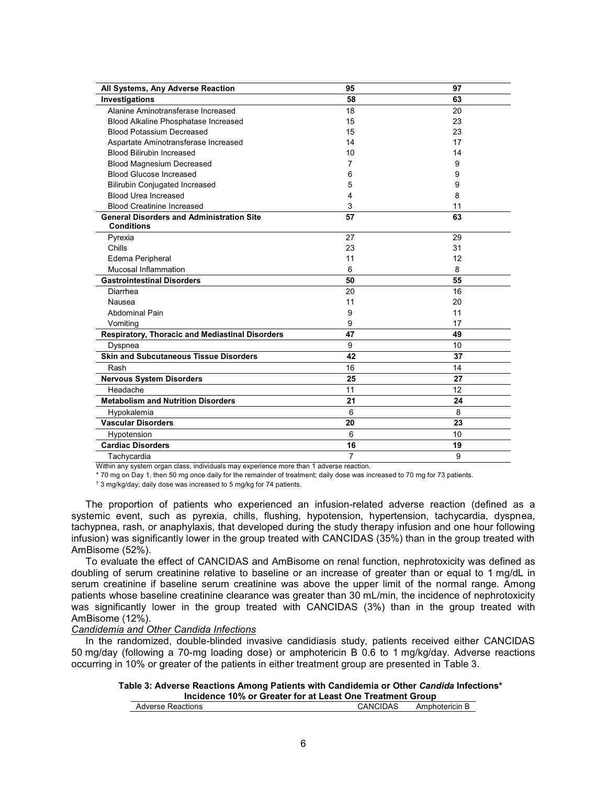| All Systems, Any Adverse Reaction                      | 95             | 97 |
|--------------------------------------------------------|----------------|----|
| Investigations                                         | 58             | 63 |
| Alanine Aminotransferase Increased                     | 18             | 20 |
| Blood Alkaline Phosphatase Increased                   | 15             | 23 |
| <b>Blood Potassium Decreased</b>                       | 15             | 23 |
| Aspartate Aminotransferase Increased                   | 14             | 17 |
| <b>Blood Bilirubin Increased</b>                       | 10             | 14 |
| <b>Blood Magnesium Decreased</b>                       | 7              | 9  |
| <b>Blood Glucose Increased</b>                         | 6              | 9  |
| <b>Bilirubin Conjugated Increased</b>                  | 5              | 9  |
| <b>Blood Urea Increased</b>                            | 4              | 8  |
| <b>Blood Creatinine Increased</b>                      | 3              | 11 |
| <b>General Disorders and Administration Site</b>       | 57             | 63 |
| <b>Conditions</b>                                      |                |    |
| Pyrexia                                                | 27             | 29 |
| Chills                                                 | 23             | 31 |
| Edema Peripheral                                       | 11             | 12 |
| Mucosal Inflammation                                   | 6              | 8  |
| <b>Gastrointestinal Disorders</b>                      | 50             | 55 |
| Diarrhea                                               | 20             | 16 |
| Nausea                                                 | 11             | 20 |
| <b>Abdominal Pain</b>                                  | 9              | 11 |
| Vomiting                                               | 9              | 17 |
| <b>Respiratory, Thoracic and Mediastinal Disorders</b> | 47             | 49 |
| Dyspnea                                                | 9              | 10 |
| <b>Skin and Subcutaneous Tissue Disorders</b>          | 42             | 37 |
| Rash                                                   | 16             | 14 |
| <b>Nervous System Disorders</b>                        | 25             | 27 |
| Headache                                               | 11             | 12 |
| <b>Metabolism and Nutrition Disorders</b>              | 21             | 24 |
| Hypokalemia                                            | 6              | 8  |
| <b>Vascular Disorders</b>                              | 20             | 23 |
| Hypotension                                            | 6              | 10 |
| <b>Cardiac Disorders</b>                               | 16             | 19 |
| Tachycardia                                            | $\overline{7}$ | 9  |

Within any system organ class, individuals may experience more than 1 adverse reaction.

\* 70 mg on Day 1, then 50 mg once daily for the remainder of treatment; daily dose was increased to 70 mg for 73 patients.

† 3 mg/kg/day; daily dose was increased to 5 mg/kg for 74 patients.

The proportion of patients who experienced an infusion-related adverse reaction (defined as a systemic event, such as pyrexia, chills, flushing, hypotension, hypertension, tachycardia, dyspnea, tachypnea, rash, or anaphylaxis, that developed during the study therapy infusion and one hour following infusion) was significantly lower in the group treated with CANCIDAS (35%) than in the group treated with AmBisome (52%).

To evaluate the effect of CANCIDAS and AmBisome on renal function, nephrotoxicity was defined as doubling of serum creatinine relative to baseline or an increase of greater than or equal to 1 mg/dL in serum creatinine if baseline serum creatinine was above the upper limit of the normal range. Among patients whose baseline creatinine clearance was greater than 30 mL/min, the incidence of nephrotoxicity was significantly lower in the group treated with CANCIDAS (3%) than in the group treated with AmBisome (12%).

# *Candidemia and Other Candida Infections*

In the randomized, double-blinded invasive candidiasis study, patients received either CANCIDAS 50 mg/day (following a 70-mg loading dose) or amphotericin B 0.6 to 1 mg/kg/day. Adverse reactions occurring in 10% or greater of the patients in either treatment group are presented in Table 3.

| Table 3: Adverse Reactions Among Patients with Candidemia or Other <i>Candida</i> Infections* |  |
|-----------------------------------------------------------------------------------------------|--|
| Incidence 10% or Greater for at Least One Treatment Group                                     |  |

| Adverse<br>Reactions | CIDAS<br>∴ANC<br>$\sim$ $\sim$ $\sim$ $\sim$ $\sim$ | Amphotericin ∟ |
|----------------------|-----------------------------------------------------|----------------|
|                      |                                                     |                |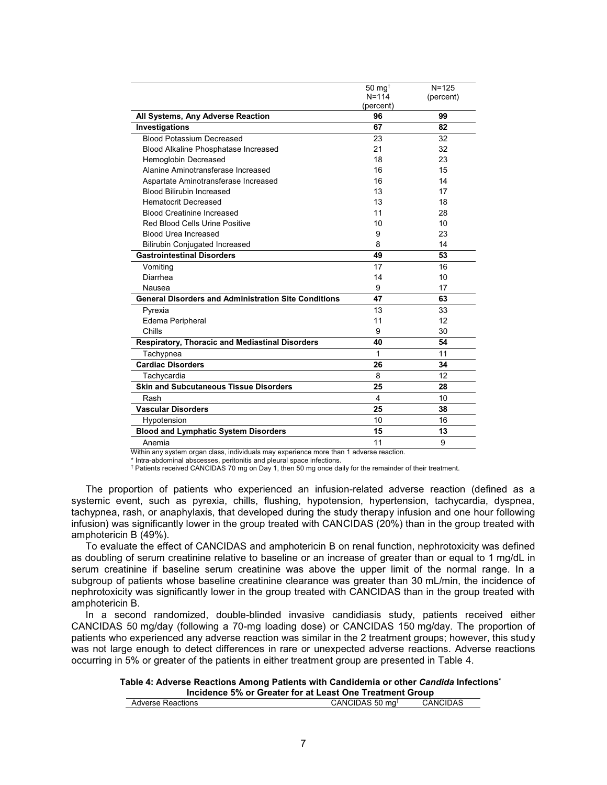|                                                             | $50 \text{ mg}^+$ | $N = 125$ |
|-------------------------------------------------------------|-------------------|-----------|
|                                                             | $N = 114$         | (percent) |
|                                                             | (percent)         |           |
| All Systems, Any Adverse Reaction                           | 96                | 99        |
| Investigations                                              | 67                | 82        |
| <b>Blood Potassium Decreased</b>                            | 23                | 32        |
| Blood Alkaline Phosphatase Increased                        | 21                | 32        |
| Hemoglobin Decreased                                        | 18                | 23        |
| Alanine Aminotransferase Increased                          | 16                | 15        |
| Aspartate Aminotransferase Increased                        | 16                | 14        |
| <b>Blood Bilirubin Increased</b>                            | 13                | 17        |
| <b>Hematocrit Decreased</b>                                 | 13                | 18        |
| <b>Blood Creatinine Increased</b>                           | 11                | 28        |
| Red Blood Cells Urine Positive                              | 10                | 10        |
| <b>Blood Urea Increased</b>                                 | 9                 | 23        |
| <b>Bilirubin Conjugated Increased</b>                       | 8                 | 14        |
| <b>Gastrointestinal Disorders</b>                           | 49                | 53        |
| Vomiting                                                    | 17                | 16        |
| Diarrhea                                                    | 14                | 10        |
| Nausea                                                      | 17<br>9           |           |
| <b>General Disorders and Administration Site Conditions</b> | 47                | 63        |
| Pyrexia                                                     | 13                | 33        |
| Edema Peripheral                                            | 11                | 12        |
| Chills                                                      | 9                 | 30        |
| Respiratory, Thoracic and Mediastinal Disorders             | 40                | 54        |
| Tachypnea                                                   | 1                 | 11        |
| <b>Cardiac Disorders</b>                                    | 26                | 34        |
| Tachycardia                                                 | 8                 | 12        |
| <b>Skin and Subcutaneous Tissue Disorders</b>               | 25                | 28        |
| Rash                                                        | 4                 | 10        |
| <b>Vascular Disorders</b>                                   | 25                | 38        |
| Hypotension                                                 | 10                | 16        |
| <b>Blood and Lymphatic System Disorders</b>                 | 15                | 13        |
| Anemia                                                      | 11                | 9         |

Within any system organ class, individuals may experience more than 1 adverse reaction.

\* Intra-abdominal abscesses, peritonitis and pleural space infections.

† Patients received CANCIDAS 70 mg on Day 1, then 50 mg once daily for the remainder of their treatment.

The proportion of patients who experienced an infusion-related adverse reaction (defined as a systemic event, such as pyrexia, chills, flushing, hypotension, hypertension, tachycardia, dyspnea, tachypnea, rash, or anaphylaxis, that developed during the study therapy infusion and one hour following infusion) was significantly lower in the group treated with CANCIDAS (20%) than in the group treated with amphotericin B (49%).

To evaluate the effect of CANCIDAS and amphotericin B on renal function, nephrotoxicity was defined as doubling of serum creatinine relative to baseline or an increase of greater than or equal to 1 mg/dL in serum creatinine if baseline serum creatinine was above the upper limit of the normal range. In a subgroup of patients whose baseline creatinine clearance was greater than 30 mL/min, the incidence of nephrotoxicity was significantly lower in the group treated with CANCIDAS than in the group treated with amphotericin B.

In a second randomized, double-blinded invasive candidiasis study, patients received either CANCIDAS 50 mg/day (following a 70-mg loading dose) or CANCIDAS 150 mg/day. The proportion of patients who experienced any adverse reaction was similar in the 2 treatment groups; however, this study was not large enough to detect differences in rare or unexpected adverse reactions. Adverse reactions occurring in 5% or greater of the patients in either treatment group are presented in Table 4.

#### **Table 4: Adverse Reactions Among Patients with Candidemia or other** *Candida* **Infections\* Incidence 5% or Greater for at Least One Treatment Group**

| Adverse Reactions | CANCIDAS 50 mɑ <sup>1</sup> | CANCIDAS |
|-------------------|-----------------------------|----------|
|                   |                             |          |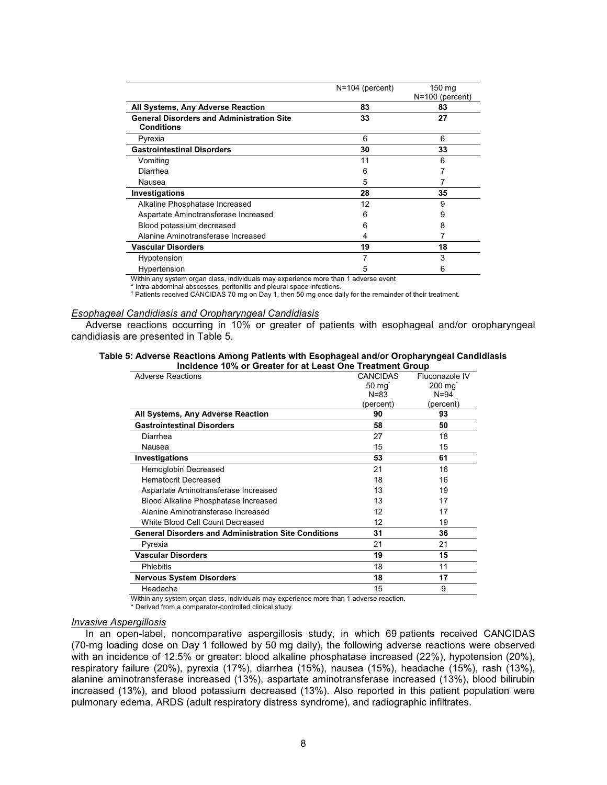|                                                  | $N=104$ (percent) | 150 mg<br>$N=100$ (percent) |
|--------------------------------------------------|-------------------|-----------------------------|
| All Systems, Any Adverse Reaction                | 83                | 83                          |
| <b>General Disorders and Administration Site</b> | 33                | 27                          |
| <b>Conditions</b>                                |                   |                             |
| Pyrexia                                          | 6                 | 6                           |
| <b>Gastrointestinal Disorders</b>                | 30                | 33                          |
| Vomiting                                         | 11                | 6                           |
| Diarrhea                                         | 6                 |                             |
| Nausea                                           | 5                 |                             |
| Investigations                                   | 28                | 35                          |
| Alkaline Phosphatase Increased                   | 12                | 9                           |
| Aspartate Aminotransferase Increased             | 6                 | 9                           |
| Blood potassium decreased                        | 6                 | 8                           |
| Alanine Aminotransferase Increased               | 4                 |                             |
| <b>Vascular Disorders</b>                        | 19                | 18                          |
| Hypotension                                      |                   | 3                           |
| Hypertension<br>                                 | 5                 | 6                           |

Within any system organ class, individuals may experience more than 1 adverse event \* Intra-abdominal abscesses, peritonitis and pleural space infections.

† Patients received CANCIDAS 70 mg on Day 1, then 50 mg once daily for the remainder of their treatment.

#### *Esophageal Candidiasis and Oropharyngeal Candidiasis*

Adverse reactions occurring in 10% or greater of patients with esophageal and/or oropharyngeal candidiasis are presented in Table 5.

| Table 5: Adverse Reactions Among Patients with Esophageal and/or Oropharyngeal Candidiasis |  |  |                                                           |  |
|--------------------------------------------------------------------------------------------|--|--|-----------------------------------------------------------|--|
|                                                                                            |  |  | Incidence 10% or Greater for at Least One Treatment Group |  |

| <b>Adverse Reactions</b>                                    | <b>CANCIDAS</b>    | Fluconazole IV     |
|-------------------------------------------------------------|--------------------|--------------------|
|                                                             | $50 \,\mathrm{mg}$ | $200 \text{ mg}^*$ |
|                                                             | $N = 83$           | $N = 94$           |
|                                                             | (percent)          | (percent)          |
| All Systems, Any Adverse Reaction                           | 90                 | 93                 |
| <b>Gastrointestinal Disorders</b>                           | 58                 | 50                 |
| Diarrhea                                                    | 27                 | 18                 |
| Nausea                                                      | 15                 | 15                 |
| Investigations                                              | 53                 | 61                 |
| Hemoglobin Decreased                                        | 21                 | 16                 |
| <b>Hematocrit Decreased</b>                                 | 18                 | 16                 |
| Aspartate Aminotransferase Increased                        | 13                 | 19                 |
| <b>Blood Alkaline Phosphatase Increased</b>                 | 13                 | 17                 |
| Alanine Aminotransferase Increased                          | 12                 | 17                 |
| White Blood Cell Count Decreased                            | 12                 | 19                 |
| <b>General Disorders and Administration Site Conditions</b> | 31                 | 36                 |
| Pyrexia                                                     | 21                 | 21                 |
| <b>Vascular Disorders</b>                                   | 19                 | 15                 |
| Phlebitis                                                   | 18                 | 11                 |
| <b>Nervous System Disorders</b>                             | 18                 | 17                 |
| Headache                                                    | 15                 | 9                  |
|                                                             |                    |                    |

Within any system organ class, individuals may experience more than 1 adverse reaction.

\* Derived from a comparator-controlled clinical study.

# *Invasive Aspergillosis*

In an open-label, noncomparative aspergillosis study, in which 69 patients received CANCIDAS (70-mg loading dose on Day 1 followed by 50 mg daily), the following adverse reactions were observed with an incidence of 12.5% or greater: blood alkaline phosphatase increased (22%), hypotension (20%), respiratory failure (20%), pyrexia (17%), diarrhea (15%), nausea (15%), headache (15%), rash (13%), alanine aminotransferase increased (13%), aspartate aminotransferase increased (13%), blood bilirubin increased (13%), and blood potassium decreased (13%). Also reported in this patient population were pulmonary edema, ARDS (adult respiratory distress syndrome), and radiographic infiltrates.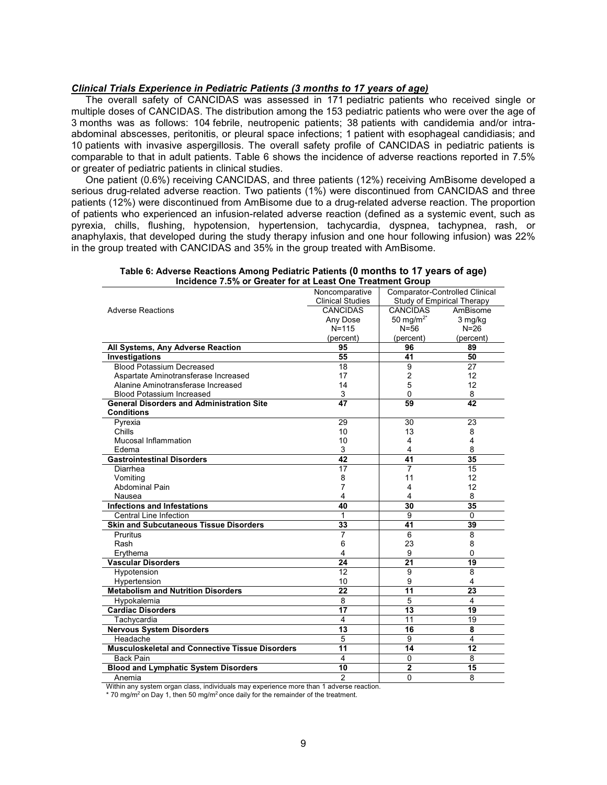#### *Clinical Trials Experience in Pediatric Patients (3 months to 17 years of age)*

The overall safety of CANCIDAS was assessed in 171 pediatric patients who received single or multiple doses of CANCIDAS. The distribution among the 153 pediatric patients who were over the age of 3 months was as follows: 104 febrile, neutropenic patients; 38 patients with candidemia and/or intraabdominal abscesses, peritonitis, or pleural space infections; 1 patient with esophageal candidiasis; and 10 patients with invasive aspergillosis. The overall safety profile of CANCIDAS in pediatric patients is comparable to that in adult patients. Table 6 shows the incidence of adverse reactions reported in 7.5% or greater of pediatric patients in clinical studies.

One patient (0.6%) receiving CANCIDAS, and three patients (12%) receiving AmBisome developed a serious drug-related adverse reaction. Two patients (1%) were discontinued from CANCIDAS and three patients (12%) were discontinued from AmBisome due to a drug-related adverse reaction. The proportion of patients who experienced an infusion-related adverse reaction (defined as a systemic event, such as pyrexia, chills, flushing, hypotension, hypertension, tachycardia, dyspnea, tachypnea, rash, or anaphylaxis, that developed during the study therapy infusion and one hour following infusion) was 22% in the group treated with CANCIDAS and 35% in the group treated with AmBisome.

|                                                        | Noncomparative          | <b>Comparator-Controlled Clinical</b> |                 |
|--------------------------------------------------------|-------------------------|---------------------------------------|-----------------|
|                                                        | <b>Clinical Studies</b> | Study of Empirical Therapy            |                 |
| <b>Adverse Reactions</b>                               | <b>CANCIDAS</b>         | <b>CANCIDAS</b>                       | AmBisome        |
|                                                        | Any Dose                | 50 mg/m <sup>2*</sup>                 | 3 mg/kg         |
|                                                        | $N = 115$               | $N = 56$                              | $N=26$          |
|                                                        | (percent)               | (percent)                             | (percent)       |
| All Systems, Any Adverse Reaction                      | 95                      | 96                                    | 89              |
| Investigations                                         | 55                      | 41                                    | 50              |
| <b>Blood Potassium Decreased</b>                       | 18                      | $\overline{9}$                        | 27              |
| Aspartate Aminotransferase Increased                   | 17                      | $\overline{c}$                        | 12              |
| Alanine Aminotransferase Increased                     | 14                      | 5                                     | 12              |
| <b>Blood Potassium Increased</b>                       | 3                       | $\mathbf{0}$                          | 8               |
| <b>General Disorders and Administration Site</b>       | $\overline{47}$         | 59                                    | $\overline{42}$ |
| <b>Conditions</b>                                      |                         |                                       |                 |
| Pyrexia                                                | 29                      | 30                                    | 23              |
| Chills                                                 | 10                      | 13                                    | 8               |
| Mucosal Inflammation                                   | 10                      | $\overline{4}$                        | $\overline{4}$  |
| Edema                                                  | 3                       | 4                                     | 8               |
| <b>Gastrointestinal Disorders</b>                      | 42                      | 41                                    | 35              |
| Diarrhea                                               | 17                      | 7                                     | 15              |
| Vomiting                                               | 8                       | 11                                    | 12              |
| <b>Abdominal Pain</b>                                  | 7                       | 4                                     | 12              |
| Nausea                                                 | 4                       | 4                                     | 8               |
| <b>Infections and Infestations</b>                     | 40                      | 30                                    | $\overline{35}$ |
| <b>Central Line Infection</b>                          | 1                       | $\overline{9}$                        | $\overline{0}$  |
| <b>Skin and Subcutaneous Tissue Disorders</b>          | 33                      | 41                                    | 39              |
| Pruritus                                               | 7                       | $\overline{6}$                        | $\overline{8}$  |
| Rash                                                   | 6                       | 23                                    | 8               |
| Erythema                                               | 4                       | 9                                     | 0               |
| <b>Vascular Disorders</b>                              | $\overline{24}$         | $\overline{21}$                       | 19              |
| Hypotension                                            | $\overline{12}$         | 9                                     | $\overline{8}$  |
| Hypertension                                           | 10                      | 9                                     | 4               |
| <b>Metabolism and Nutrition Disorders</b>              | 22                      | $\overline{11}$                       | 23              |
| Hypokalemia                                            | $\overline{8}$          | $\overline{5}$                        | $\overline{4}$  |
| <b>Cardiac Disorders</b>                               | $\overline{17}$         | $\overline{13}$                       | 19              |
| Tachycardia                                            | $\overline{4}$          | 11                                    | 19              |
| <b>Nervous System Disorders</b>                        | $\overline{13}$         | 16                                    | 8               |
| Headache                                               | $\overline{5}$          | 9                                     | 4               |
| <b>Musculoskeletal and Connective Tissue Disorders</b> | $\overline{11}$         | $\overline{14}$                       | $\overline{12}$ |
| <b>Back Pain</b>                                       | $\overline{4}$          | $\mathbf 0$                           | 8               |
| <b>Blood and Lymphatic System Disorders</b>            | 10                      | $\overline{2}$                        | $\overline{15}$ |
| Anemia                                                 | $\overline{2}$          | $\mathbf 0$                           | 8               |
|                                                        |                         |                                       |                 |

**Table 6: Adverse Reactions Among Pediatric Patients (0 months to 17 years of age) Incidence 7.5% or Greater for at Least One Treatment Group**

Within any system organ class, individuals may experience more than 1 adverse reaction.

 $*$  70 mg/m<sup>2</sup> on Day 1, then 50 mg/m<sup>2</sup> once daily for the remainder of the treatment.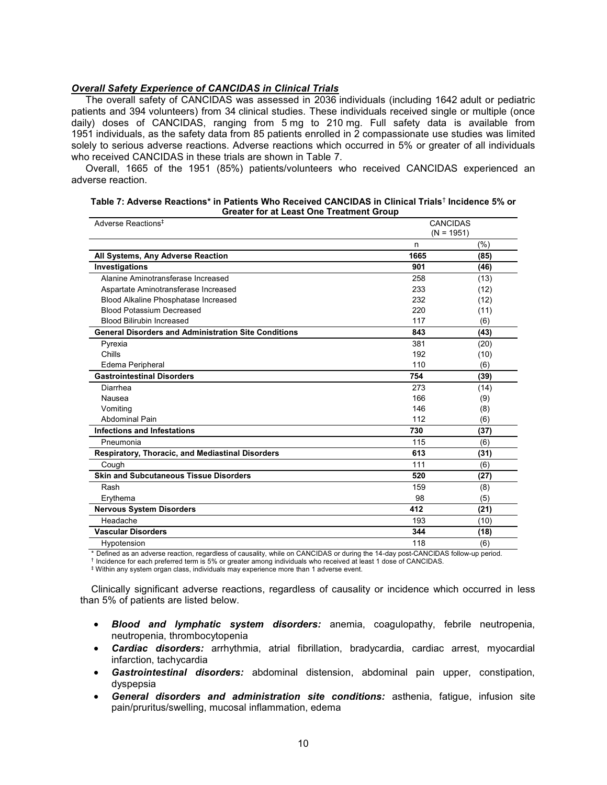#### *Overall Safety Experience of CANCIDAS in Clinical Trials*

The overall safety of CANCIDAS was assessed in 2036 individuals (including 1642 adult or pediatric patients and 394 volunteers) from 34 clinical studies. These individuals received single or multiple (once daily) doses of CANCIDAS, ranging from 5 mg to 210 mg. Full safety data is available from 1951 individuals, as the safety data from 85 patients enrolled in 2 compassionate use studies was limited solely to serious adverse reactions. Adverse reactions which occurred in 5% or greater of all individuals who received CANCIDAS in these trials are shown in Table 7.

Overall, 1665 of the 1951 (85%) patients/volunteers who received CANCIDAS experienced an adverse reaction.

| Table 7: Adverse Reactions* in Patients Who Received CANCIDAS in Clinical Trials <sup>†</sup> Incidence 5% or |
|---------------------------------------------------------------------------------------------------------------|
| <b>Greater for at Least One Treatment Group</b>                                                               |

| Adverse Reactions <sup>‡</sup>                              | <b>CANCIDAS</b> |      |
|-------------------------------------------------------------|-----------------|------|
|                                                             | $(N = 1951)$    |      |
|                                                             | n               | (% ) |
| All Systems, Any Adverse Reaction                           | 1665            | (85) |
| Investigations                                              | 901             | (46) |
| Alanine Aminotransferase Increased                          | 258             | (13) |
| Aspartate Aminotransferase Increased                        | 233             | (12) |
| Blood Alkaline Phosphatase Increased                        | 232             | (12) |
| <b>Blood Potassium Decreased</b>                            | 220             | (11) |
| <b>Blood Bilirubin Increased</b>                            | 117             | (6)  |
| <b>General Disorders and Administration Site Conditions</b> | 843             | (43) |
| Pyrexia                                                     | 381             | (20) |
| Chills                                                      | 192             | (10) |
| Edema Peripheral                                            | 110             | (6)  |
| <b>Gastrointestinal Disorders</b>                           | 754             | (39) |
| Diarrhea                                                    | 273             | (14) |
| Nausea                                                      | 166             | (9)  |
| Vomiting                                                    | 146             | (8)  |
| <b>Abdominal Pain</b>                                       | 112             | (6)  |
| <b>Infections and Infestations</b>                          | 730             | (37) |
| Pneumonia                                                   | 115             | (6)  |
| <b>Respiratory, Thoracic, and Mediastinal Disorders</b>     | 613             | (31) |
| Cough                                                       | 111             | (6)  |
| <b>Skin and Subcutaneous Tissue Disorders</b>               | 520             | (27) |
| Rash                                                        | 159             | (8)  |
| Erythema                                                    | 98              | (5)  |
| <b>Nervous System Disorders</b>                             | 412             | (21) |
| Headache                                                    | 193             | (10) |
| <b>Vascular Disorders</b>                                   | 344             | (18) |
| Hypotension                                                 | 118             | (6)  |

\* Defined as an adverse reaction, regardless of causality, while on CANCIDAS or during the 14-day post-CANCIDAS follow-up period.

† Incidence for each preferred term is 5% or greater among individuals who received at least 1 dose of CANCIDAS.

‡ Within any system organ class, individuals may experience more than 1 adverse event.

Clinically significant adverse reactions, regardless of causality or incidence which occurred in less than 5% of patients are listed below.

- *Blood and lymphatic system disorders:* anemia, coagulopathy, febrile neutropenia, neutropenia, thrombocytopenia
- *Cardiac disorders:* arrhythmia, atrial fibrillation, bradycardia, cardiac arrest, myocardial infarction, tachycardia
- *Gastrointestinal disorders:* abdominal distension, abdominal pain upper, constipation, dyspepsia
- *General disorders and administration site conditions:* asthenia, fatigue, infusion site pain/pruritus/swelling, mucosal inflammation, edema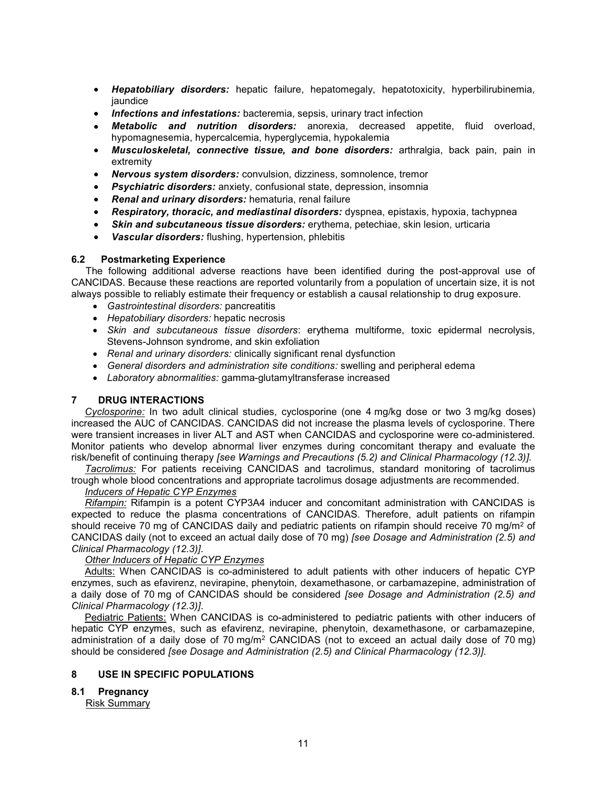- *Hepatobiliary disorders:* hepatic failure, hepatomegaly, hepatotoxicity, hyperbilirubinemia, jaundice
- *Infections and infestations:* bacteremia, sepsis, urinary tract infection
- *Metabolic and nutrition disorders:* anorexia, decreased appetite, fluid overload, hypomagnesemia, hypercalcemia, hyperglycemia, hypokalemia
- *Musculoskeletal, connective tissue, and bone disorders:* arthralgia, back pain, pain in extremity
- *Nervous system disorders:* convulsion, dizziness, somnolence, tremor
- *Psychiatric disorders:* anxiety, confusional state, depression, insomnia
- *Renal and urinary disorders:* hematuria, renal failure
- *Respiratory, thoracic, and mediastinal disorders:* dyspnea, epistaxis, hypoxia, tachypnea
- *Skin and subcutaneous tissue disorders:* erythema, petechiae, skin lesion, urticaria
- *Vascular disorders:* flushing, hypertension, phlebitis

# **6.2 Postmarketing Experience**

The following additional adverse reactions have been identified during the post-approval use of CANCIDAS. Because these reactions are reported voluntarily from a population of uncertain size, it is not always possible to reliably estimate their frequency or establish a causal relationship to drug exposure.

- *Gastrointestinal disorders:* pancreatitis
- *Hepatobiliary disorders:* hepatic necrosis
- *Skin and subcutaneous tissue disorders*: erythema multiforme, toxic epidermal necrolysis, Stevens-Johnson syndrome, and skin exfoliation
- *Renal and urinary disorders:* clinically significant renal dysfunction
- *General disorders and administration site conditions:* swelling and peripheral edema
- *Laboratory abnormalities:* gamma-glutamyltransferase increased

# **7 DRUG INTERACTIONS**

*Cyclosporine:* In two adult clinical studies, cyclosporine (one 4 mg/kg dose or two 3 mg/kg doses) increased the AUC of CANCIDAS. CANCIDAS did not increase the plasma levels of cyclosporine. There were transient increases in liver ALT and AST when CANCIDAS and cyclosporine were co-administered*.* Monitor patients who develop abnormal liver enzymes during concomitant therapy and evaluate the risk/benefit of continuing therapy *[see Warnings and Precautions (5.2) and Clinical Pharmacology (12.3)].*

*Tacrolimus:* For patients receiving CANCIDAS and tacrolimus, standard monitoring of tacrolimus trough whole blood concentrations and appropriate tacrolimus dosage adjustments are recommended.

# *Inducers of Hepatic CYP Enzymes*

*Rifampin:* Rifampin is a potent CYP3A4 inducer and concomitant administration with CANCIDAS is expected to reduce the plasma concentrations of CANCIDAS. Therefore, adult patients on rifampin should receive 70 mg of CANCIDAS daily and pediatric patients on rifampin should receive 70 mg/m<sup>2</sup> of CANCIDAS daily (not to exceed an actual daily dose of 70 mg) *[see Dosage and Administration (2.5) and Clinical Pharmacology (12.3)]*.

# *Other Inducers of Hepatic CYP Enzymes*

Adults: When CANCIDAS is co-administered to adult patients with other inducers of hepatic CYP enzymes, such as efavirenz, nevirapine, phenytoin, dexamethasone, or carbamazepine, administration of a daily dose of 70 mg of CANCIDAS should be considered *[see Dosage and Administration (2.5) and Clinical Pharmacology (12.3)]*.

Pediatric Patients: When CANCIDAS is co-administered to pediatric patients with other inducers of hepatic CYP enzymes, such as efavirenz, nevirapine, phenytoin, dexamethasone, or carbamazepine, administration of a daily dose of 70 mg/m<sup>2</sup> CANCIDAS (not to exceed an actual daily dose of 70 mg) should be considered *[see Dosage and Administration (2.5) and Clinical Pharmacology (12.3)]*.

# **8 USE IN SPECIFIC POPULATIONS**

# **8.1 Pregnancy**

Risk Summary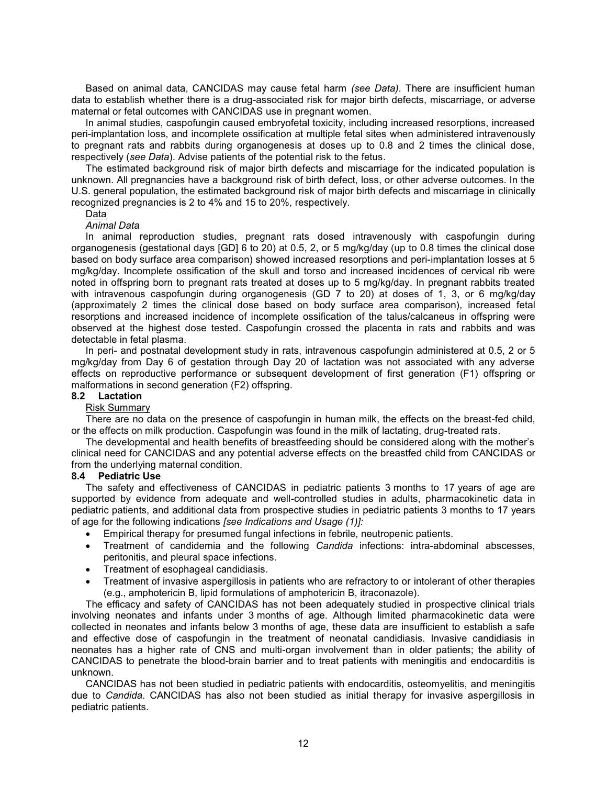Based on animal data, CANCIDAS may cause fetal harm *(see Data)*. There are insufficient human data to establish whether there is a drug-associated risk for major birth defects, miscarriage, or adverse maternal or fetal outcomes with CANCIDAS use in pregnant women.

In animal studies, caspofungin caused embryofetal toxicity, including increased resorptions, increased peri-implantation loss, and incomplete ossification at multiple fetal sites when administered intravenously to pregnant rats and rabbits during organogenesis at doses up to 0.8 and 2 times the clinical dose, respectively (*see Data*). Advise patients of the potential risk to the fetus.

The estimated background risk of major birth defects and miscarriage for the indicated population is unknown. All pregnancies have a background risk of birth defect, loss, or other adverse outcomes. In the U.S. general population, the estimated background risk of major birth defects and miscarriage in clinically recognized pregnancies is 2 to 4% and 15 to 20%, respectively.

#### Data

#### *Animal Data*

In animal reproduction studies, pregnant rats dosed intravenously with caspofungin during organogenesis (gestational days [GD] 6 to 20) at 0.5, 2, or 5 mg/kg/day (up to 0.8 times the clinical dose based on body surface area comparison) showed increased resorptions and peri-implantation losses at 5 mg/kg/day. Incomplete ossification of the skull and torso and increased incidences of cervical rib were noted in offspring born to pregnant rats treated at doses up to 5 mg/kg/day. In pregnant rabbits treated with intravenous caspofungin during organogenesis (GD 7 to 20) at doses of 1, 3, or 6 mg/kg/day (approximately 2 times the clinical dose based on body surface area comparison), increased fetal resorptions and increased incidence of incomplete ossification of the talus/calcaneus in offspring were observed at the highest dose tested. Caspofungin crossed the placenta in rats and rabbits and was detectable in fetal plasma.

In peri- and postnatal development study in rats, intravenous caspofungin administered at 0.5, 2 or 5 mg/kg/day from Day 6 of gestation through Day 20 of lactation was not associated with any adverse effects on reproductive performance or subsequent development of first generation (F1) offspring or malformations in second generation (F2) offspring.

# **8.2 Lactation**

#### Risk Summary

There are no data on the presence of caspofungin in human milk, the effects on the breast-fed child, or the effects on milk production. Caspofungin was found in the milk of lactating, drug-treated rats.

The developmental and health benefits of breastfeeding should be considered along with the mother's clinical need for CANCIDAS and any potential adverse effects on the breastfed child from CANCIDAS or from the underlying maternal condition.

#### **8.4 Pediatric Use**

The safety and effectiveness of CANCIDAS in pediatric patients 3 months to 17 years of age are supported by evidence from adequate and well-controlled studies in adults, pharmacokinetic data in pediatric patients, and additional data from prospective studies in pediatric patients 3 months to 17 years of age for the following indications *[see Indications and Usage (1)]:*

- Empirical therapy for presumed fungal infections in febrile, neutropenic patients.
- Treatment of candidemia and the following *Candida* infections: intra-abdominal abscesses, peritonitis, and pleural space infections.
- Treatment of esophageal candidiasis.
- Treatment of invasive aspergillosis in patients who are refractory to or intolerant of other therapies (e.g., amphotericin B, lipid formulations of amphotericin B, itraconazole).

The efficacy and safety of CANCIDAS has not been adequately studied in prospective clinical trials involving neonates and infants under 3 months of age. Although limited pharmacokinetic data were collected in neonates and infants below 3 months of age, these data are insufficient to establish a safe and effective dose of caspofungin in the treatment of neonatal candidiasis. Invasive candidiasis in neonates has a higher rate of CNS and multi-organ involvement than in older patients; the ability of CANCIDAS to penetrate the blood-brain barrier and to treat patients with meningitis and endocarditis is unknown.

CANCIDAS has not been studied in pediatric patients with endocarditis, osteomyelitis, and meningitis due to *Candida*. CANCIDAS has also not been studied as initial therapy for invasive aspergillosis in pediatric patients.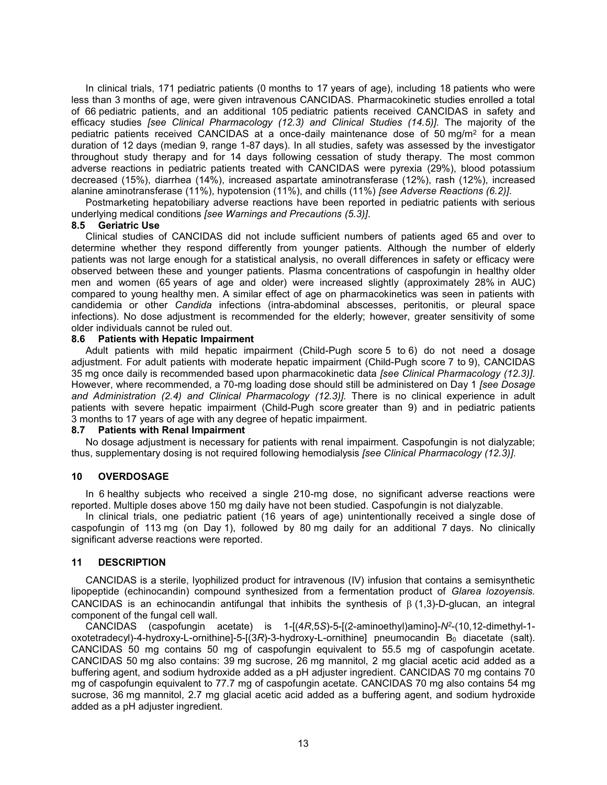In clinical trials, 171 pediatric patients (0 months to 17 years of age), including 18 patients who were less than 3 months of age, were given intravenous CANCIDAS. Pharmacokinetic studies enrolled a total of 66 pediatric patients, and an additional 105 pediatric patients received CANCIDAS in safety and efficacy studies *[see Clinical Pharmacology (12.3) and Clinical Studies (14.5)].* The majority of the pediatric patients received CANCIDAS at a once-daily maintenance dose of 50 mg/m<sup>2</sup> for a mean duration of 12 days (median 9, range 1-87 days). In all studies, safety was assessed by the investigator throughout study therapy and for 14 days following cessation of study therapy. The most common adverse reactions in pediatric patients treated with CANCIDAS were pyrexia (29%), blood potassium decreased (15%), diarrhea (14%), increased aspartate aminotransferase (12%), rash (12%), increased alanine aminotransferase (11%), hypotension (11%), and chills (11%) *[see Adverse Reactions (6.2)].*

Postmarketing hepatobiliary adverse reactions have been reported in pediatric patients with serious underlying medical conditions *[see Warnings and Precautions (5.3)]*.

#### **8.5 Geriatric Use**

Clinical studies of CANCIDAS did not include sufficient numbers of patients aged 65 and over to determine whether they respond differently from younger patients. Although the number of elderly patients was not large enough for a statistical analysis, no overall differences in safety or efficacy were observed between these and younger patients. Plasma concentrations of caspofungin in healthy older men and women (65 years of age and older) were increased slightly (approximately 28% in AUC) compared to young healthy men. A similar effect of age on pharmacokinetics was seen in patients with candidemia or other *Candida* infections (intra-abdominal abscesses, peritonitis, or pleural space infections). No dose adjustment is recommended for the elderly; however, greater sensitivity of some older individuals cannot be ruled out.<br>8.6 Patients with Hepatic Impairn

#### **8.6 Patients with Hepatic Impairment**

Adult patients with mild hepatic impairment (Child-Pugh score 5 to 6) do not need a dosage adjustment. For adult patients with moderate hepatic impairment (Child-Pugh score 7 to 9), CANCIDAS 35 mg once daily is recommended based upon pharmacokinetic data *[see Clinical Pharmacology (12.3)]*. However, where recommended, a 70-mg loading dose should still be administered on Day 1 *[see Dosage and Administration (2.4) and Clinical Pharmacology (12.3)].* There is no clinical experience in adult patients with severe hepatic impairment (Child-Pugh score greater than 9) and in pediatric patients 3 months to 17 years of age with any degree of hepatic impairment.<br>8.7 Patients with Renal Impairment

#### **8.7 Patients with Renal Impairment**

No dosage adjustment is necessary for patients with renal impairment. Caspofungin is not dialyzable; thus, supplementary dosing is not required following hemodialysis *[see Clinical Pharmacology (12.3)]*.

# **10 OVERDOSAGE**

In 6 healthy subjects who received a single 210-mg dose, no significant adverse reactions were reported. Multiple doses above 150 mg daily have not been studied. Caspofungin is not dialyzable.

In clinical trials, one pediatric patient (16 years of age) unintentionally received a single dose of caspofungin of 113 mg (on Day 1), followed by 80 mg daily for an additional 7 days. No clinically significant adverse reactions were reported.

# **11 DESCRIPTION**

CANCIDAS is a sterile, lyophilized product for intravenous (IV) infusion that contains a semisynthetic lipopeptide (echinocandin) compound synthesized from a fermentation product of *Glarea lozoyensis.* CANCIDAS is an echinocandin antifungal that inhibits the synthesis of  $\beta$  (1,3)-D-glucan, an integral component of the fungal cell wall.

CANCIDAS (caspofungin acetate) is 1-[(4*R*,5*S*)-5-[(2-aminoethyl)amino]-*N<sup>2</sup>* -(10,12-dimethyl-1 oxotetradecyl)-4-hydroxy-L-ornithine]-5-[(3R)-3-hydroxy-L-ornithine] pneumocandin B<sub>0</sub> diacetate (salt). CANCIDAS 50 mg contains 50 mg of caspofungin equivalent to 55.5 mg of caspofungin acetate. CANCIDAS 50 mg also contains: 39 mg sucrose, 26 mg mannitol, 2 mg glacial acetic acid added as a buffering agent, and sodium hydroxide added as a pH adjuster ingredient. CANCIDAS 70 mg contains 70 mg of caspofungin equivalent to 77.7 mg of caspofungin acetate. CANCIDAS 70 mg also contains 54 mg sucrose, 36 mg mannitol, 2.7 mg glacial acetic acid added as a buffering agent, and sodium hydroxide added as a pH adjuster ingredient.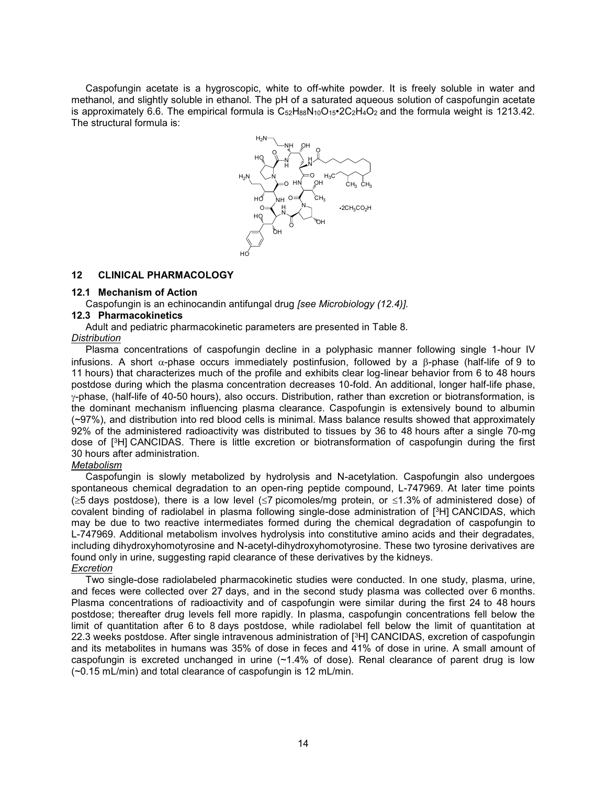Caspofungin acetate is a hygroscopic, white to off-white powder. It is freely soluble in water and methanol, and slightly soluble in ethanol. The pH of a saturated aqueous solution of caspofungin acetate is approximately 6.6. The empirical formula is  $C_{52}H_{88}N_{10}O_{15}$  $\cdot$  2C<sub>2</sub>H<sub>4</sub>O<sub>2</sub> and the formula weight is 1213.42. The structural formula is:



# **12 CLINICAL PHARMACOLOGY**

# **12.1 Mechanism of Action**

Caspofungin is an echinocandin antifungal drug *[see Microbiology (12.4)].*

# **12.3 Pharmacokinetics**

Adult and pediatric pharmacokinetic parameters are presented in Table 8.

#### *Distribution*

Plasma concentrations of caspofungin decline in a polyphasic manner following single 1-hour IV infusions. A short  $\alpha$ -phase occurs immediately postinfusion, followed by a  $\beta$ -phase (half-life of 9 to 11 hours) that characterizes much of the profile and exhibits clear log-linear behavior from 6 to 48 hours postdose during which the plasma concentration decreases 10-fold. An additional, longer half-life phase, -phase, (half-life of 40-50 hours), also occurs. Distribution, rather than excretion or biotransformation, is the dominant mechanism influencing plasma clearance. Caspofungin is extensively bound to albumin (~97%), and distribution into red blood cells is minimal. Mass balance results showed that approximately 92% of the administered radioactivity was distributed to tissues by 36 to 48 hours after a single 70-mg dose of [ <sup>3</sup>H] CANCIDAS. There is little excretion or biotransformation of caspofungin during the first 30 hours after administration.

# *Metabolism*

Caspofungin is slowly metabolized by hydrolysis and N-acetylation. Caspofungin also undergoes spontaneous chemical degradation to an open-ring peptide compound, L-747969. At later time points  $(\geq 5$  days postdose), there is a low level ( $\leq 7$  picomoles/mg protein, or  $\leq 1.3\%$  of administered dose) of covalent binding of radiolabel in plasma following single-dose administration of [ <sup>3</sup>H] CANCIDAS, which may be due to two reactive intermediates formed during the chemical degradation of caspofungin to L-747969. Additional metabolism involves hydrolysis into constitutive amino acids and their degradates, including dihydroxyhomotyrosine and N-acetyl-dihydroxyhomotyrosine. These two tyrosine derivatives are found only in urine, suggesting rapid clearance of these derivatives by the kidneys. *Excretion*

Two single-dose radiolabeled pharmacokinetic studies were conducted. In one study, plasma, urine, and feces were collected over 27 days, and in the second study plasma was collected over 6 months. Plasma concentrations of radioactivity and of caspofungin were similar during the first 24 to 48 hours postdose; thereafter drug levels fell more rapidly. In plasma, caspofungin concentrations fell below the limit of quantitation after 6 to 8 days postdose, while radiolabel fell below the limit of quantitation at 22.3 weeks postdose. After single intravenous administration of [<sup>3</sup>H] CANCIDAS, excretion of caspofungin and its metabolites in humans was 35% of dose in feces and 41% of dose in urine. A small amount of caspofungin is excreted unchanged in urine  $(-1.4\%$  of dose). Renal clearance of parent drug is low (~0.15 mL/min) and total clearance of caspofungin is 12 mL/min.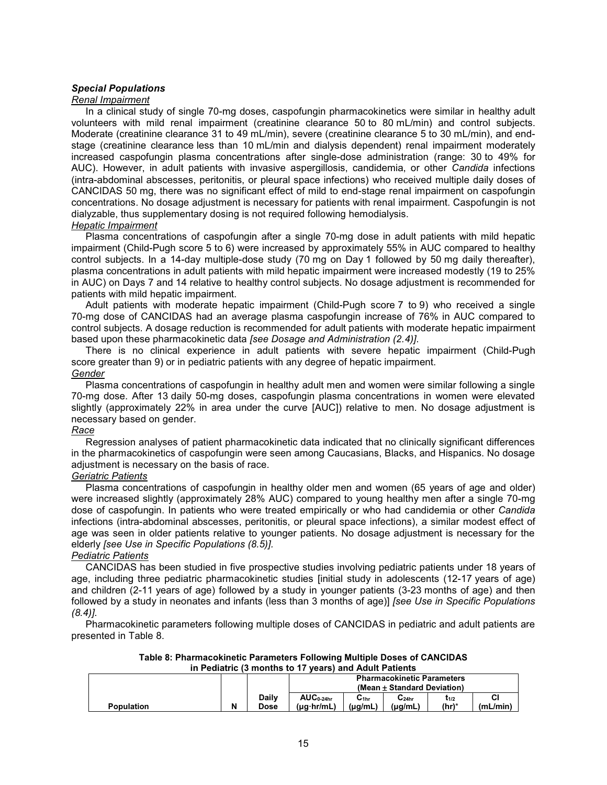# *Special Populations*

#### *Renal Impairment*

In a clinical study of single 70-mg doses, caspofungin pharmacokinetics were similar in healthy adult volunteers with mild renal impairment (creatinine clearance 50 to 80 mL/min) and control subjects. Moderate (creatinine clearance 31 to 49 mL/min), severe (creatinine clearance 5 to 30 mL/min), and endstage (creatinine clearance less than 10 mL/min and dialysis dependent) renal impairment moderately increased caspofungin plasma concentrations after single-dose administration (range: 30 to 49% for AUC). However, in adult patients with invasive aspergillosis, candidemia, or other *Candida* infections (intra-abdominal abscesses, peritonitis, or pleural space infections) who received multiple daily doses of CANCIDAS 50 mg, there was no significant effect of mild to end-stage renal impairment on caspofungin concentrations. No dosage adjustment is necessary for patients with renal impairment. Caspofungin is not dialyzable, thus supplementary dosing is not required following hemodialysis. *Hepatic Impairment*

Plasma concentrations of caspofungin after a single 70-mg dose in adult patients with mild hepatic impairment (Child-Pugh score 5 to 6) were increased by approximately 55% in AUC compared to healthy control subjects. In a 14-day multiple-dose study (70 mg on Day 1 followed by 50 mg daily thereafter), plasma concentrations in adult patients with mild hepatic impairment were increased modestly (19 to 25% in AUC) on Days 7 and 14 relative to healthy control subjects. No dosage adjustment is recommended for patients with mild hepatic impairment.

Adult patients with moderate hepatic impairment (Child-Pugh score 7 to 9) who received a single 70-mg dose of CANCIDAS had an average plasma caspofungin increase of 76% in AUC compared to control subjects. A dosage reduction is recommended for adult patients with moderate hepatic impairment based upon these pharmacokinetic data *[see Dosage and Administration (2.4)]*.

There is no clinical experience in adult patients with severe hepatic impairment (Child-Pugh score greater than 9) or in pediatric patients with any degree of hepatic impairment.

#### *Gender*

Plasma concentrations of caspofungin in healthy adult men and women were similar following a single 70-mg dose. After 13 daily 50-mg doses, caspofungin plasma concentrations in women were elevated slightly (approximately 22% in area under the curve [AUC]) relative to men. No dosage adjustment is necessary based on gender.

# *Race*

Regression analyses of patient pharmacokinetic data indicated that no clinically significant differences in the pharmacokinetics of caspofungin were seen among Caucasians, Blacks, and Hispanics. No dosage adjustment is necessary on the basis of race.

# *Geriatric Patients*

Plasma concentrations of caspofungin in healthy older men and women (65 years of age and older) were increased slightly (approximately 28% AUC) compared to young healthy men after a single 70-mg dose of caspofungin. In patients who were treated empirically or who had candidemia or other *Candida* infections (intra-abdominal abscesses, peritonitis, or pleural space infections), a similar modest effect of age was seen in older patients relative to younger patients. No dosage adjustment is necessary for the elderly *[see Use in Specific Populations (8.5)].*

# *Pediatric Patients*

CANCIDAS has been studied in five prospective studies involving pediatric patients under 18 years of age, including three pediatric pharmacokinetic studies [initial study in adolescents (12-17 years of age) and children (2-11 years of age) followed by a study in younger patients (3-23 months of age) and then followed by a study in neonates and infants (less than 3 months of age)] *[see Use in Specific Populations (8.4)]*.

Pharmacokinetic parameters following multiple doses of CANCIDAS in pediatric and adult patients are presented in Table 8.

|  | Table 8: Pharmacokinetic Parameters Following Multiple Doses of CANCIDAS |  |
|--|--------------------------------------------------------------------------|--|
|  | in Pediatric (3 months to 17 years) and Adult Patients                   |  |
|  |                                                                          |  |

|                   |   |                             |                                         |                  | <b>Pharmacokinetic Parameters</b><br>(Mean ± Standard Deviation) |                              |                |
|-------------------|---|-----------------------------|-----------------------------------------|------------------|------------------------------------------------------------------|------------------------------|----------------|
| <b>Population</b> | N | <b>Daily</b><br><b>Dose</b> | $AUC_{0.24hr}$<br>$(\mu q \cdot hr/mL)$ | ا 1hr<br>(ua/mL) | -24hr<br>$(\mu q/mL)$                                            | ւ <sub>1/2</sub><br>$(hr)^*$ | СI<br>(mL/min) |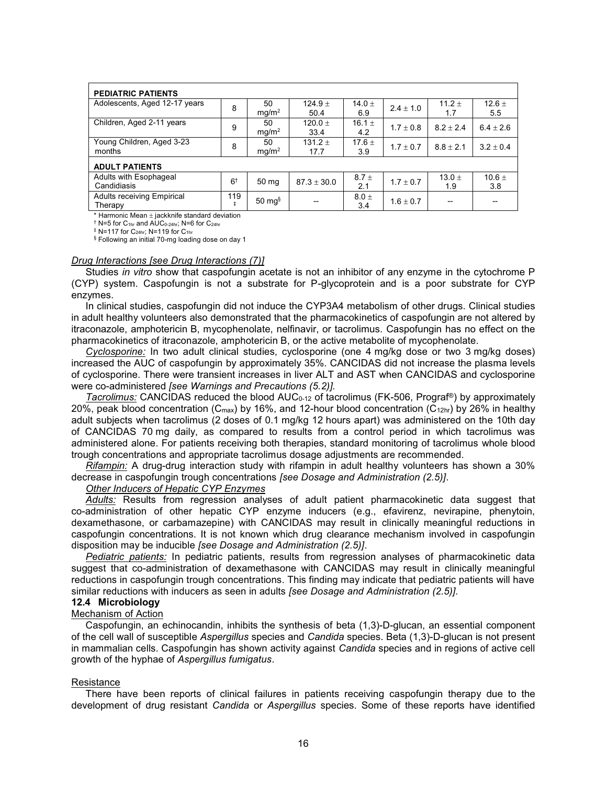| <b>PEDIATRIC PATIENTS</b>                               |                |                         |                   |                   |               |                   |                 |
|---------------------------------------------------------|----------------|-------------------------|-------------------|-------------------|---------------|-------------------|-----------------|
| Adolescents, Aged 12-17 years                           | 8              | 50<br>mg/m <sup>2</sup> | $124.9 +$<br>50.4 | 14.0 $\pm$<br>6.9 | $2.4 \pm 1.0$ | 11.2 $\pm$<br>1.7 | $12.6 +$<br>5.5 |
| Children, Aged 2-11 years                               | 9              | 50<br>mq/m <sup>2</sup> | $120.0 +$<br>33.4 | 16.1 $\pm$<br>4.2 | $1.7 + 0.8$   | $8.2 + 2.4$       | $6.4 + 2.6$     |
| Young Children, Aged 3-23<br>months                     | 8              | 50<br>mg/m <sup>2</sup> | $131.2 +$<br>17.7 | $17.6 +$<br>3.9   | $1.7 \pm 0.7$ | $8.8 \pm 2.1$     | $3.2 + 0.4$     |
| <b>ADULT PATIENTS</b>                                   |                |                         |                   |                   |               |                   |                 |
| Adults with Esophageal<br>Candidiasis                   | 6 <sup>†</sup> | 50 mg                   | $87.3 \pm 30.0$   | $8.7 +$<br>2.1    | $1.7 \pm 0.7$ | 13.0 $\pm$<br>1.9 | $10.6 +$<br>3.8 |
| <b>Adults receiving Empirical</b><br>Therapy            | 119<br>ŧ       | $50 \text{ mg}$         |                   | $8.0 +$<br>3.4    | $1.6 \pm 0.7$ |                   |                 |
| * Ileans ente Marco III della Mercano degli della della |                |                         |                   |                   |               |                   |                 |

Harmonic Mean + jackknife standard deviation  $\dagger$  N=5 for C<sub>1hr</sub> and AUC<sub>0-24hr</sub>; N=6 for C<sub>24hr</sub>

 $*$  N=117 for C<sub>24hr</sub>; N=119 for C<sub>1hr</sub>

§ Following an initial 70-mg loading dose on day 1

#### *Drug Interactions [see Drug Interactions (7)]*

Studies *in vitro* show that caspofungin acetate is not an inhibitor of any enzyme in the cytochrome P (CYP) system. Caspofungin is not a substrate for P-glycoprotein and is a poor substrate for CYP enzymes.

In clinical studies, caspofungin did not induce the CYP3A4 metabolism of other drugs. Clinical studies in adult healthy volunteers also demonstrated that the pharmacokinetics of caspofungin are not altered by itraconazole, amphotericin B, mycophenolate, nelfinavir, or tacrolimus. Caspofungin has no effect on the pharmacokinetics of itraconazole, amphotericin B, or the active metabolite of mycophenolate.

*Cyclosporine:* In two adult clinical studies, cyclosporine (one 4 mg/kg dose or two 3 mg/kg doses) increased the AUC of caspofungin by approximately 35%. CANCIDAS did not increase the plasma levels of cyclosporine. There were transient increases in liver ALT and AST when CANCIDAS and cyclosporine were co-administered *[see Warnings and Precautions (5.2)].*

*Tacrolimus:* CANCIDAS reduced the blood AUC0-12 of tacrolimus (FK-506, Prograf®) by approximately 20%, peak blood concentration ( $C_{\text{max}}$ ) by 16%, and 12-hour blood concentration ( $C_{12hr}$ ) by 26% in healthy adult subjects when tacrolimus (2 doses of 0.1 mg/kg 12 hours apart) was administered on the 10th day of CANCIDAS 70 mg daily, as compared to results from a control period in which tacrolimus was administered alone. For patients receiving both therapies, standard monitoring of tacrolimus whole blood trough concentrations and appropriate tacrolimus dosage adjustments are recommended.

*Rifampin:* A drug-drug interaction study with rifampin in adult healthy volunteers has shown a 30% decrease in caspofungin trough concentrations *[see Dosage and Administration (2.5)]*.

# *Other Inducers of Hepatic CYP Enzymes*

*Adults:* Results from regression analyses of adult patient pharmacokinetic data suggest that co-administration of other hepatic CYP enzyme inducers (e.g., efavirenz, nevirapine, phenytoin, dexamethasone, or carbamazepine) with CANCIDAS may result in clinically meaningful reductions in caspofungin concentrations. It is not known which drug clearance mechanism involved in caspofungin disposition may be inducible *[see Dosage and Administration (2.5)]*.

*Pediatric patients:* In pediatric patients, results from regression analyses of pharmacokinetic data suggest that co-administration of dexamethasone with CANCIDAS may result in clinically meaningful reductions in caspofungin trough concentrations. This finding may indicate that pediatric patients will have similar reductions with inducers as seen in adults *[see Dosage and Administration (2.5)]*.

# **12.4 Microbiology**

# Mechanism of Action

Caspofungin, an echinocandin, inhibits the synthesis of beta (1,3)-D-glucan, an essential component of the cell wall of susceptible *Aspergillus* species and *Candida* species. Beta (1,3)-D-glucan is not present in mammalian cells. Caspofungin has shown activity against *Candida* species and in regions of active cell growth of the hyphae of *Aspergillus fumigatus*.

#### **Resistance**

There have been reports of clinical failures in patients receiving caspofungin therapy due to the development of drug resistant *Candida* or *Aspergillus* species. Some of these reports have identified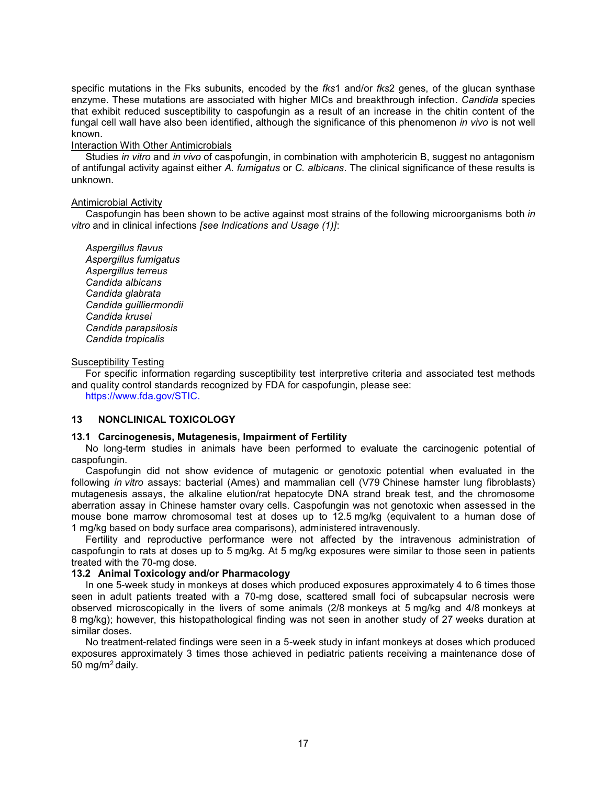specific mutations in the Fks subunits, encoded by the *fks*1 and/or *fks*2 genes, of the glucan synthase enzyme. These mutations are associated with higher MICs and breakthrough infection. *Candida* species that exhibit reduced susceptibility to caspofungin as a result of an increase in the chitin content of the fungal cell wall have also been identified, although the significance of this phenomenon *in vivo* is not well known.

#### Interaction With Other Antimicrobials

Studies *in vitro* and *in vivo* of caspofungin, in combination with amphotericin B, suggest no antagonism of antifungal activity against either *A. fumigatus* or *C. albicans*. The clinical significance of these results is unknown.

# Antimicrobial Activity

Caspofungin has been shown to be active against most strains of the following microorganisms both *in vitro* and in clinical infections *[see Indications and Usage (1)]*:

*Aspergillus flavus Aspergillus fumigatus Aspergillus terreus Candida albicans Candida glabrata Candida guilliermondii Candida krusei Candida parapsilosis Candida tropicalis*

#### Susceptibility Testing

For specific information regarding susceptibility test interpretive criteria and associated test methods and quality control standards recognized by FDA for caspofungin, please see:

<https://www.fda.gov/STIC.>

# **13 NONCLINICAL TOXICOLOGY**

#### **13.1 Carcinogenesis, Mutagenesis, Impairment of Fertility**

No long-term studies in animals have been performed to evaluate the carcinogenic potential of caspofungin.

Caspofungin did not show evidence of mutagenic or genotoxic potential when evaluated in the following *in vitro* assays: bacterial (Ames) and mammalian cell (V79 Chinese hamster lung fibroblasts) mutagenesis assays, the alkaline elution/rat hepatocyte DNA strand break test, and the chromosome aberration assay in Chinese hamster ovary cells. Caspofungin was not genotoxic when assessed in the mouse bone marrow chromosomal test at doses up to 12.5 mg/kg (equivalent to a human dose of 1 mg/kg based on body surface area comparisons), administered intravenously.

Fertility and reproductive performance were not affected by the intravenous administration of caspofungin to rats at doses up to 5 mg/kg. At 5 mg/kg exposures were similar to those seen in patients treated with the 70-mg dose.

# **13.2 Animal Toxicology and/or Pharmacology**

In one 5-week study in monkeys at doses which produced exposures approximately 4 to 6 times those seen in adult patients treated with a 70-mg dose, scattered small foci of subcapsular necrosis were observed microscopically in the livers of some animals (2/8 monkeys at 5 mg/kg and 4/8 monkeys at 8 mg/kg); however, this histopathological finding was not seen in another study of 27 weeks duration at similar doses.

No treatment-related findings were seen in a 5-week study in infant monkeys at doses which produced exposures approximately 3 times those achieved in pediatric patients receiving a maintenance dose of 50 mg/m<sup>2</sup>daily.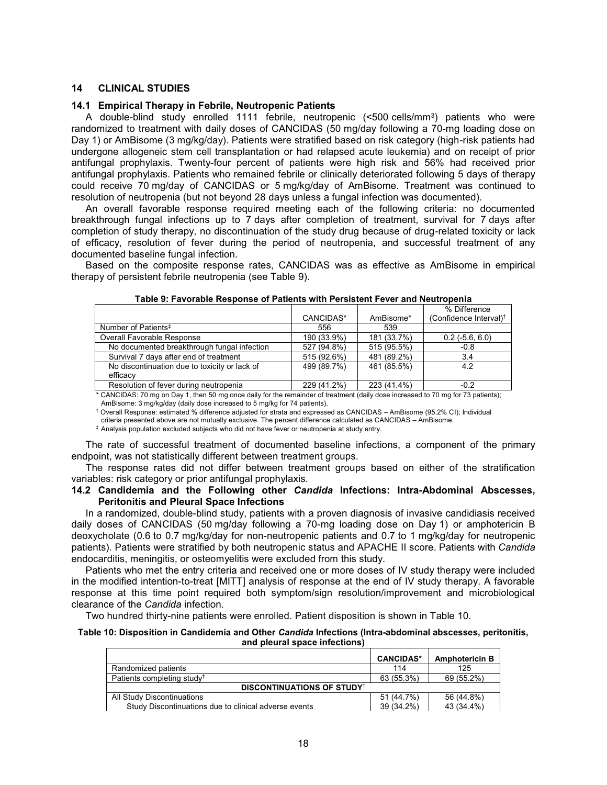#### **14 CLINICAL STUDIES**

#### **14.1 Empirical Therapy in Febrile, Neutropenic Patients**

A double-blind study enrolled 1111 febrile, neutropenic (<500 cells/mm<sup>3</sup> ) patients who were randomized to treatment with daily doses of CANCIDAS (50 mg/day following a 70-mg loading dose on Day 1) or AmBisome (3 mg/kg/day). Patients were stratified based on risk category (high-risk patients had undergone allogeneic stem cell transplantation or had relapsed acute leukemia) and on receipt of prior antifungal prophylaxis. Twenty-four percent of patients were high risk and 56% had received prior antifungal prophylaxis. Patients who remained febrile or clinically deteriorated following 5 days of therapy could receive 70 mg/day of CANCIDAS or 5 mg/kg/day of AmBisome. Treatment was continued to resolution of neutropenia (but not beyond 28 days unless a fungal infection was documented).

An overall favorable response required meeting each of the following criteria: no documented breakthrough fungal infections up to 7 days after completion of treatment, survival for 7 days after completion of study therapy, no discontinuation of the study drug because of drug-related toxicity or lack of efficacy, resolution of fever during the period of neutropenia, and successful treatment of any documented baseline fungal infection.

Based on the composite response rates, CANCIDAS was as effective as AmBisome in empirical therapy of persistent febrile neutropenia (see Table 9).

|                                                           |             |             | % Difference                       |
|-----------------------------------------------------------|-------------|-------------|------------------------------------|
|                                                           | CANCIDAS*   | AmBisome*   | (Confidence Interval) <sup>†</sup> |
| Number of Patients <sup>#</sup>                           | 556         | 539         |                                    |
| Overall Favorable Response                                | 190 (33.9%) | 181 (33.7%) | $0.2$ ( $-5.6, 6.0$ )              |
| No documented breakthrough fungal infection               | 527 (94.8%) | 515 (95.5%) | $-0.8$                             |
| Survival 7 days after end of treatment                    | 515 (92.6%) | 481 (89.2%) | 3.4                                |
| No discontinuation due to toxicity or lack of<br>efficacy | 499 (89.7%) | 461 (85.5%) | 4.2                                |
| Resolution of fever during neutropenia                    | 229 (41.2%) | 223 (41.4%) | $-0.2$                             |
|                                                           |             |             |                                    |

**Table 9: Favorable Response of Patients with Persistent Fever and Neutropenia**

CANCIDAS: 70 mg on Day 1, then 50 mg once daily for the remainder of treatment (daily dose increased to 70 mg for 73 patients); AmBisome: 3 mg/kg/day (daily dose increased to 5 mg/kg for 74 patients).

† Overall Response: estimated % difference adjusted for strata and expressed as CANCIDAS – AmBisome (95.2% CI); Individual

criteria presented above are not mutually exclusive. The percent difference calculated as CANCIDAS – AmBisome.

‡ Analysis population excluded subjects who did not have fever or neutropenia at study entry.

The rate of successful treatment of documented baseline infections, a component of the primary endpoint, was not statistically different between treatment groups.

The response rates did not differ between treatment groups based on either of the stratification variables: risk category or prior antifungal prophylaxis.

# **14.2 Candidemia and the Following other** *Candida* **Infections: Intra-Abdominal Abscesses, Peritonitis and Pleural Space Infections**

In a randomized, double-blind study, patients with a proven diagnosis of invasive candidiasis received daily doses of CANCIDAS (50 mg/day following a 70-mg loading dose on Day 1) or amphotericin B deoxycholate (0.6 to 0.7 mg/kg/day for non-neutropenic patients and 0.7 to 1 mg/kg/day for neutropenic patients). Patients were stratified by both neutropenic status and APACHE II score. Patients with *Candida* endocarditis, meningitis, or osteomyelitis were excluded from this study.

Patients who met the entry criteria and received one or more doses of IV study therapy were included in the modified intention-to-treat [MITT] analysis of response at the end of IV study therapy. A favorable response at this time point required both symptom/sign resolution/improvement and microbiological clearance of the *Candida* infection.

Two hundred thirty-nine patients were enrolled. Patient disposition is shown in Table 10.

#### **Table 10: Disposition in Candidemia and Other** *Candida* **Infections (Intra-abdominal abscesses, peritonitis, and pleural space infections)**

|                                                       | <b>CANCIDAS*</b> | <b>Amphotericin B</b> |
|-------------------------------------------------------|------------------|-----------------------|
| Randomized patients                                   | 114              | 125                   |
| Patients completing study <sup>†</sup>                | 63 (55.3%)       | 69 (55.2%)            |
| <b>DISCONTINUATIONS OF STUDY</b> <sup>†</sup>         |                  |                       |
| All Study Discontinuations                            | 51 (44.7%)       | 56 (44.8%)            |
| Study Discontinuations due to clinical adverse events | 39 (34.2%)       | 43 (34.4%)            |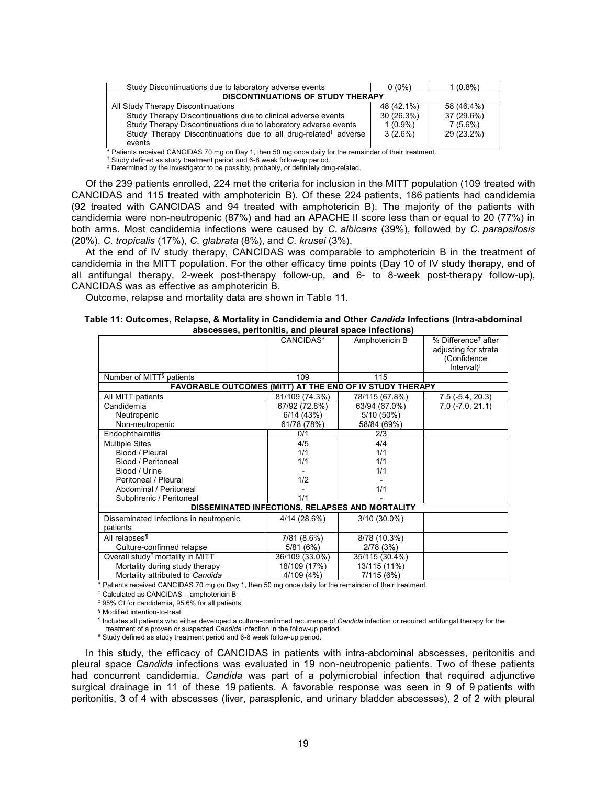| Study Discontinuations due to laboratory adverse events                     | $0(0\%)$   | $1(0.8\%)$ |
|-----------------------------------------------------------------------------|------------|------------|
| <b>DISCONTINUATIONS OF STUDY THERAPY</b>                                    |            |            |
| All Study Therapy Discontinuations                                          | 48 (42.1%) | 58 (46.4%) |
| Study Therapy Discontinuations due to clinical adverse events               | 30(26.3%)  | 37 (29.6%) |
| Study Therapy Discontinuations due to laboratory adverse events             | $1(0.9\%)$ | $7(5.6\%)$ |
| Study Therapy Discontinuations due to all drug-related <sup>‡</sup> adverse | $3(2.6\%)$ | 29 (23.2%) |
| events                                                                      |            |            |

\* Patients received CANCIDAS 70 mg on Day 1, then 50 mg once daily for the remainder of their treatment.

† Study defined as study treatment period and 6-8 week follow-up period.

‡ Determined by the investigator to be possibly, probably, or definitely drug-related.

Of the 239 patients enrolled, 224 met the criteria for inclusion in the MITT population (109 treated with CANCIDAS and 115 treated with amphotericin B). Of these 224 patients, 186 patients had candidemia (92 treated with CANCIDAS and 94 treated with amphotericin B). The majority of the patients with candidemia were non-neutropenic (87%) and had an APACHE II score less than or equal to 20 (77%) in both arms. Most candidemia infections were caused by *C. albicans* (39%), followed by *C. parapsilosis* (20%), *C. tropicalis* (17%), *C. glabrata* (8%), and *C. krusei* (3%).

At the end of IV study therapy, CANCIDAS was comparable to amphotericin B in the treatment of candidemia in the MITT population. For the other efficacy time points (Day 10 of IV study therapy, end of all antifungal therapy, 2-week post-therapy follow-up, and 6- to 8-week post-therapy follow-up), CANCIDAS was as effective as amphotericin B.

Outcome, relapse and mortality data are shown in Table 11.

| Table 11: Outcomes, Relapse, & Mortality in Candidemia and Other <i>Candida</i> Infections (Intra-abdominal |  |
|-------------------------------------------------------------------------------------------------------------|--|
| abscesses, peritonitis, and pleural space infections)                                                       |  |

|                                                                 | CANCIDAS*      | Amphotericin B                                  | % Difference <sup>†</sup> after |
|-----------------------------------------------------------------|----------------|-------------------------------------------------|---------------------------------|
|                                                                 |                |                                                 | adjusting for strata            |
|                                                                 |                |                                                 | (Confidence                     |
|                                                                 |                |                                                 | Interval $)^{\ddagger}$         |
| Number of MITT <sup>§</sup> patients                            | 109            | 115                                             |                                 |
| <b>FAVORABLE OUTCOMES (MITT) AT THE END OF IV STUDY THERAPY</b> |                |                                                 |                                 |
| All MITT patients                                               | 81/109 (74.3%) | 78/115 (67.8%)                                  | $7.5(-5.4, 20.3)$               |
| Candidemia                                                      | 67/92 (72.8%)  | 63/94 (67.0%)                                   | $7.0$ ( $-7.0$ , $21.1$ )       |
| Neutropenic                                                     | 6/14(43%)      | 5/10 (50%)                                      |                                 |
| Non-neutropenic                                                 | 61/78 (78%)    | 58/84 (69%)                                     |                                 |
| Endophthalmitis                                                 | 0/1            | 2/3                                             |                                 |
| <b>Multiple Sites</b>                                           | 4/5            | 4/4                                             |                                 |
| Blood / Pleural                                                 | 1/1            | 1/1                                             |                                 |
| Blood / Peritoneal                                              | 1/1            | 1/1                                             |                                 |
| Blood / Urine                                                   |                | 1/1                                             |                                 |
| Peritoneal / Pleural                                            | 1/2            |                                                 |                                 |
| Abdominal / Peritoneal                                          |                | 1/1                                             |                                 |
| Subphrenic / Peritoneal                                         | 1/1            |                                                 |                                 |
|                                                                 |                | DISSEMINATED INFECTIONS, RELAPSES AND MORTALITY |                                 |
| Disseminated Infections in neutropenic                          | 4/14(28.6%)    | $3/10(30.0\%)$                                  |                                 |
| patients                                                        |                |                                                 |                                 |
| All relapses <sup>1</sup>                                       | 7/81 (8.6%)    | 8/78 (10.3%)                                    |                                 |
| Culture-confirmed relapse                                       | 5/81(6%)       | 2/78(3%)                                        |                                 |
| Overall study# mortality in MITT                                | 36/109 (33.0%) | 35/115 (30.4%)                                  |                                 |
| Mortality during study therapy                                  | 18/109 (17%)   | 13/115 (11%)                                    |                                 |
| Mortality attributed to Candida                                 | 4/109 (4%)     | 7/115 (6%)                                      |                                 |

\* Patients received CANCIDAS 70 mg on Day 1, then 50 mg once daily for the remainder of their treatment.

† Calculated as CANCIDAS – amphotericin B

‡ 95% CI for candidemia, 95.6% for all patients

§ Modified intention-to-treat

¶ Includes all patients who either developed a culture-confirmed recurrence of *Candida* infection or required antifungal therapy for the

treatment of a proven or suspected *Candida* infection in the follow-up period.

# Study defined as study treatment period and 6-8 week follow-up period.

In this study, the efficacy of CANCIDAS in patients with intra-abdominal abscesses, peritonitis and pleural space *Candida* infections was evaluated in 19 non-neutropenic patients. Two of these patients had concurrent candidemia. *Candida* was part of a polymicrobial infection that required adjunctive surgical drainage in 11 of these 19 patients. A favorable response was seen in 9 of 9 patients with peritonitis, 3 of 4 with abscesses (liver, parasplenic, and urinary bladder abscesses), 2 of 2 with pleural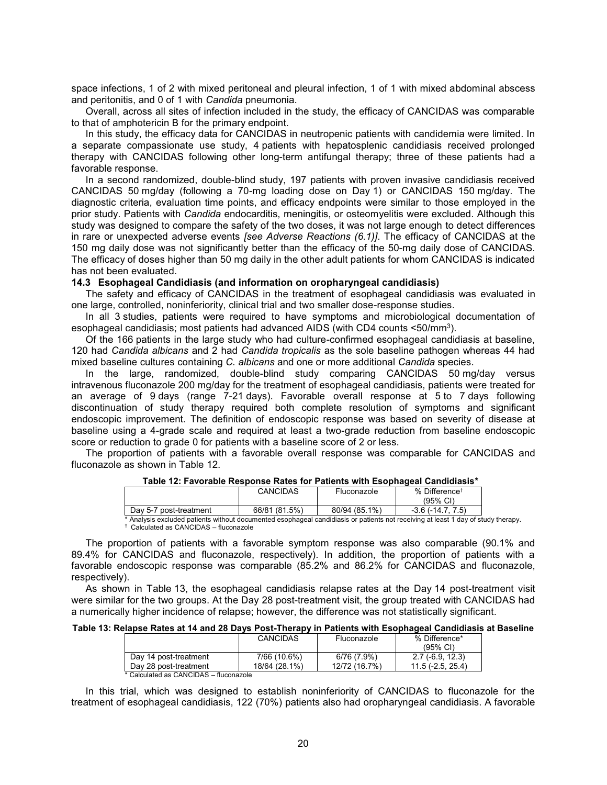space infections, 1 of 2 with mixed peritoneal and pleural infection, 1 of 1 with mixed abdominal abscess and peritonitis, and 0 of 1 with *Candida* pneumonia.

Overall, across all sites of infection included in the study, the efficacy of CANCIDAS was comparable to that of amphotericin B for the primary endpoint.

In this study, the efficacy data for CANCIDAS in neutropenic patients with candidemia were limited. In a separate compassionate use study, 4 patients with hepatosplenic candidiasis received prolonged therapy with CANCIDAS following other long-term antifungal therapy; three of these patients had a favorable response.

In a second randomized, double-blind study, 197 patients with proven invasive candidiasis received CANCIDAS 50 mg/day (following a 70-mg loading dose on Day 1) or CANCIDAS 150 mg/day. The diagnostic criteria, evaluation time points, and efficacy endpoints were similar to those employed in the prior study. Patients with *Candida* endocarditis, meningitis, or osteomyelitis were excluded. Although this study was designed to compare the safety of the two doses, it was not large enough to detect differences in rare or unexpected adverse events *[see Adverse Reactions (6.1)]*. The efficacy of CANCIDAS at the 150 mg daily dose was not significantly better than the efficacy of the 50-mg daily dose of CANCIDAS. The efficacy of doses higher than 50 mg daily in the other adult patients for whom CANCIDAS is indicated has not been evaluated.

#### **14.3 Esophageal Candidiasis (and information on oropharyngeal candidiasis)**

The safety and efficacy of CANCIDAS in the treatment of esophageal candidiasis was evaluated in one large, controlled, noninferiority, clinical trial and two smaller dose-response studies.

In all 3 studies, patients were required to have symptoms and microbiological documentation of esophageal candidiasis; most patients had advanced AIDS (with CD4 counts <50/mm<sup>3</sup> ).

Of the 166 patients in the large study who had culture-confirmed esophageal candidiasis at baseline, 120 had *Candida albicans* and 2 had *Candida tropicalis* as the sole baseline pathogen whereas 44 had mixed baseline cultures containing *C. albicans* and one or more additional *Candida* species.

In the large, randomized, double-blind study comparing CANCIDAS 50 mg/day versus intravenous fluconazole 200 mg/day for the treatment of esophageal candidiasis, patients were treated for an average of 9 days (range 7-21 days). Favorable overall response at 5 to 7 days following discontinuation of study therapy required both complete resolution of symptoms and significant endoscopic improvement. The definition of endoscopic response was based on severity of disease at baseline using a 4-grade scale and required at least a two-grade reduction from baseline endoscopic score or reduction to grade 0 for patients with a baseline score of 2 or less.

The proportion of patients with a favorable overall response was comparable for CANCIDAS and fluconazole as shown in Table 12.

#### **Table 12: Favorable Response Rates for Patients with Esophageal Candidiasis\***

|                                                                                                                       | CANCIDAS      | Fluconazole   | % Difference <sup>†</sup><br>(95% CI) |  |
|-----------------------------------------------------------------------------------------------------------------------|---------------|---------------|---------------------------------------|--|
| Dav 5-7 post-treatment                                                                                                | 66/81 (81.5%) | 80/94 (85.1%) | $-3.6$ ( $-14.7$ , $7.5$ )            |  |
| Anglysis excluded patients without documented esophageal candidiasis or patients not receiving at least 1 day of stud |               |               |                                       |  |

asis or patients not receiving at least 1 day of study therapy. † Calculated as CANCIDAS – fluconazole

The proportion of patients with a favorable symptom response was also comparable (90.1% and 89.4% for CANCIDAS and fluconazole, respectively). In addition, the proportion of patients with a favorable endoscopic response was comparable (85.2% and 86.2% for CANCIDAS and fluconazole, respectively).

As shown in Table 13, the esophageal candidiasis relapse rates at the Day 14 post-treatment visit were similar for the two groups. At the Day 28 post-treatment visit, the group treated with CANCIDAS had a numerically higher incidence of relapse; however, the difference was not statistically significant.

#### **Table 13: Relapse Rates at 14 and 28 Days Post-Therapy in Patients with Esophageal Candidiasis at Baseline**

|                                  | <b>CANCIDAS</b> | Fluconazole   | % Difference*<br>(95% CI) |
|----------------------------------|-----------------|---------------|---------------------------|
| Day 14 post-treatment            | 7/66 (10.6%)    | 6/76(7.9%)    | $2.7$ (-6.9, 12.3)        |
| Day 28 post-treatment            | 18/64 (28.1%)   | 12/72 (16.7%) | $11.5(-2.5, 25.4)$        |
| $*$ $Q$ -1-1-1-1-1-0 $Q$ ANQIDAQ | <b>A</b> 1 .    |               |                           |

Calculated as CANCIDAS – fluconazole

In this trial, which was designed to establish noninferiority of CANCIDAS to fluconazole for the treatment of esophageal candidiasis, 122 (70%) patients also had oropharyngeal candidiasis. A favorable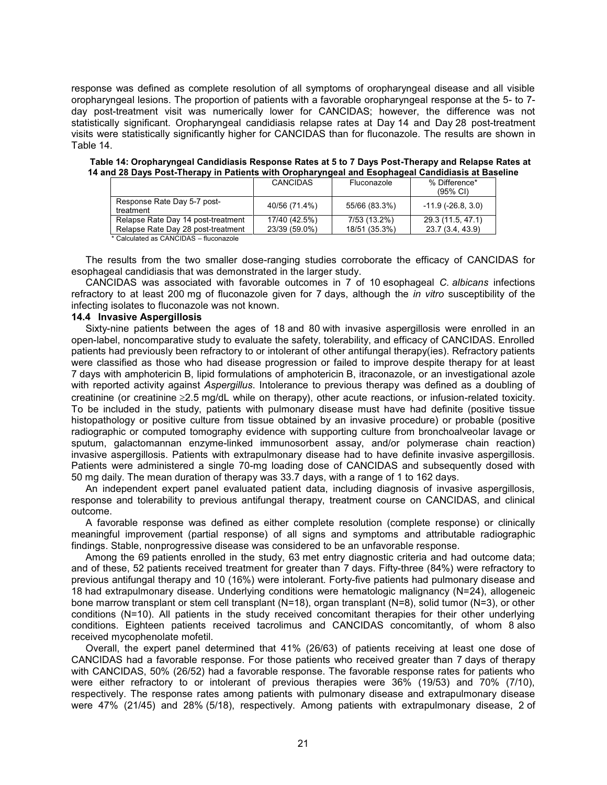response was defined as complete resolution of all symptoms of oropharyngeal disease and all visible oropharyngeal lesions. The proportion of patients with a favorable oropharyngeal response at the 5- to 7 day post-treatment visit was numerically lower for CANCIDAS; however, the difference was not statistically significant. Oropharyngeal candidiasis relapse rates at Day 14 and Day 28 post-treatment visits were statistically significantly higher for CANCIDAS than for fluconazole. The results are shown in Table 14.

| Table 14: Oropharyngeal Candidiasis Response Rates at 5 to 7 Days Post-Therapy and Relapse Rates at |  |  |
|-----------------------------------------------------------------------------------------------------|--|--|
| 14 and 28 Days Post-Therapy in Patients with Oropharyngeal and Esophageal Candidiasis at Baseline   |  |  |

|                                          | <b>CANCIDAS</b> | Fluconazole   | % Difference*<br>$(95\% \text{ Cl})$ |
|------------------------------------------|-----------------|---------------|--------------------------------------|
| Response Rate Day 5-7 post-<br>treatment | 40/56 (71.4%)   | 55/66 (83.3%) | $-11.9$ ( $-26.8$ , 3.0)             |
| Relapse Rate Day 14 post-treatment       | 17/40 (42.5%)   | 7/53 (13.2%)  | 29.3 (11.5, 47.1)                    |
| Relapse Rate Day 28 post-treatment       | 23/39 (59.0%)   | 18/51 (35.3%) | 23.7 (3.4, 43.9)                     |
| * Calculated as CANCIDAS - fluconazole   |                 |               |                                      |

The results from the two smaller dose-ranging studies corroborate the efficacy of CANCIDAS for esophageal candidiasis that was demonstrated in the larger study.

CANCIDAS was associated with favorable outcomes in 7 of 10 esophageal *C. albicans* infections refractory to at least 200 mg of fluconazole given for 7 days, although the *in vitro* susceptibility of the infecting isolates to fluconazole was not known.

#### **14.4 Invasive Aspergillosis**

Sixty-nine patients between the ages of 18 and 80 with invasive aspergillosis were enrolled in an open-label, noncomparative study to evaluate the safety, tolerability, and efficacy of CANCIDAS. Enrolled patients had previously been refractory to or intolerant of other antifungal therapy(ies). Refractory patients were classified as those who had disease progression or failed to improve despite therapy for at least 7 days with amphotericin B, lipid formulations of amphotericin B, itraconazole, or an investigational azole with reported activity against *Aspergillus*. Intolerance to previous therapy was defined as a doubling of creatinine (or creatinine 2.5 mg/dL while on therapy), other acute reactions, or infusion-related toxicity. To be included in the study, patients with pulmonary disease must have had definite (positive tissue histopathology or positive culture from tissue obtained by an invasive procedure) or probable (positive radiographic or computed tomography evidence with supporting culture from bronchoalveolar lavage or sputum, galactomannan enzyme-linked immunosorbent assay, and/or polymerase chain reaction) invasive aspergillosis. Patients with extrapulmonary disease had to have definite invasive aspergillosis. Patients were administered a single 70-mg loading dose of CANCIDAS and subsequently dosed with 50 mg daily. The mean duration of therapy was 33.7 days, with a range of 1 to 162 days.

An independent expert panel evaluated patient data, including diagnosis of invasive aspergillosis, response and tolerability to previous antifungal therapy, treatment course on CANCIDAS, and clinical outcome.

A favorable response was defined as either complete resolution (complete response) or clinically meaningful improvement (partial response) of all signs and symptoms and attributable radiographic findings. Stable, nonprogressive disease was considered to be an unfavorable response.

Among the 69 patients enrolled in the study, 63 met entry diagnostic criteria and had outcome data; and of these, 52 patients received treatment for greater than 7 days. Fifty-three (84%) were refractory to previous antifungal therapy and 10 (16%) were intolerant. Forty-five patients had pulmonary disease and 18 had extrapulmonary disease. Underlying conditions were hematologic malignancy (N=24), allogeneic bone marrow transplant or stem cell transplant (N=18), organ transplant (N=8), solid tumor (N=3), or other conditions (N=10). All patients in the study received concomitant therapies for their other underlying conditions. Eighteen patients received tacrolimus and CANCIDAS concomitantly, of whom 8 also received mycophenolate mofetil.

Overall, the expert panel determined that 41% (26/63) of patients receiving at least one dose of CANCIDAS had a favorable response. For those patients who received greater than 7 days of therapy with CANCIDAS, 50% (26/52) had a favorable response. The favorable response rates for patients who were either refractory to or intolerant of previous therapies were 36% (19/53) and 70% (7/10), respectively. The response rates among patients with pulmonary disease and extrapulmonary disease were 47% (21/45) and 28% (5/18), respectively. Among patients with extrapulmonary disease, 2 of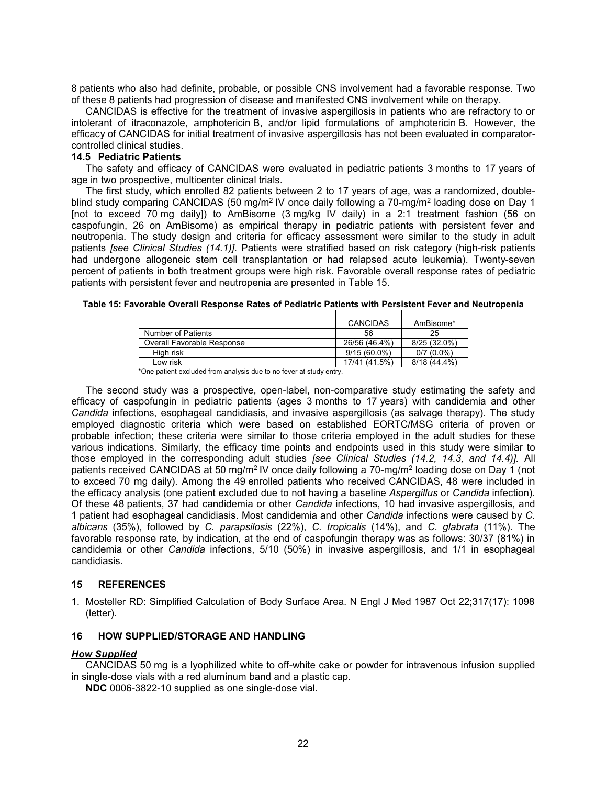8 patients who also had definite, probable, or possible CNS involvement had a favorable response. Two of these 8 patients had progression of disease and manifested CNS involvement while on therapy.

CANCIDAS is effective for the treatment of invasive aspergillosis in patients who are refractory to or intolerant of itraconazole, amphotericin B, and/or lipid formulations of amphotericin B. However, the efficacy of CANCIDAS for initial treatment of invasive aspergillosis has not been evaluated in comparatorcontrolled clinical studies.

#### **14.5 Pediatric Patients**

The safety and efficacy of CANCIDAS were evaluated in pediatric patients 3 months to 17 years of age in two prospective, multicenter clinical trials.

The first study, which enrolled 82 patients between 2 to 17 years of age, was a randomized, doubleblind study comparing CANCIDAS (50 mg/m² IV once daily following a 70-mg/m² loading dose on Day 1 [not to exceed 70 mg daily]) to AmBisome (3 mg/kg IV daily) in a 2:1 treatment fashion (56 on caspofungin, 26 on AmBisome) as empirical therapy in pediatric patients with persistent fever and neutropenia. The study design and criteria for efficacy assessment were similar to the study in adult patients *[see Clinical Studies (14.1)].* Patients were stratified based on risk category (high-risk patients had undergone allogeneic stem cell transplantation or had relapsed acute leukemia). Twenty-seven percent of patients in both treatment groups were high risk. Favorable overall response rates of pediatric patients with persistent fever and neutropenia are presented in Table 15.

|                            | <b>CANCIDAS</b> | AmBisome*      |
|----------------------------|-----------------|----------------|
| Number of Patients         | 56              | 25             |
| Overall Favorable Response | 26/56 (46.4%)   | $8/25(32.0\%)$ |
| High risk                  | $9/15(60.0\%)$  | $0/7(0.0\%)$   |
| Low risk                   | 17/41 (41.5%)   | $8/18(44.4\%)$ |

**Table 15: Favorable Overall Response Rates of Pediatric Patients with Persistent Fever and Neutropenia**

\*One patient excluded from analysis due to no fever at study entry.

The second study was a prospective, open-label, non-comparative study estimating the safety and efficacy of caspofungin in pediatric patients (ages 3 months to 17 years) with candidemia and other *Candida* infections, esophageal candidiasis, and invasive aspergillosis (as salvage therapy). The study employed diagnostic criteria which were based on established EORTC/MSG criteria of proven or probable infection; these criteria were similar to those criteria employed in the adult studies for these various indications. Similarly, the efficacy time points and endpoints used in this study were similar to those employed in the corresponding adult studies *[see Clinical Studies (14.2, 14.3, and 14.4)].* All patients received CANCIDAS at 50 mg/m² IV once daily following a 70-mg/m² loading dose on Day 1 (not to exceed 70 mg daily). Among the 49 enrolled patients who received CANCIDAS, 48 were included in the efficacy analysis (one patient excluded due to not having a baseline *Aspergillus* or *Candida* infection). Of these 48 patients, 37 had candidemia or other *Candida* infections, 10 had invasive aspergillosis, and 1 patient had esophageal candidiasis. Most candidemia and other *Candida* infections were caused by *C. albicans* (35%), followed by *C. parapsilosis* (22%), *C. tropicalis* (14%), and *C. glabrata* (11%). The favorable response rate, by indication, at the end of caspofungin therapy was as follows: 30/37 (81%) in candidemia or other *Candida* infections, 5/10 (50%) in invasive aspergillosis, and 1/1 in esophageal candidiasis.

# **15 REFERENCES**

1. Mosteller RD: Simplified Calculation of Body Surface Area. N Engl J Med 1987 Oct 22;317(17): 1098 (letter).

# **16 HOW SUPPLIED/STORAGE AND HANDLING**

# *How Supplied*

CANCIDAS 50 mg is a lyophilized white to off-white cake or powder for intravenous infusion supplied in single-dose vials with a red aluminum band and a plastic cap.

**NDC** 0006-3822-10 supplied as one single-dose vial.